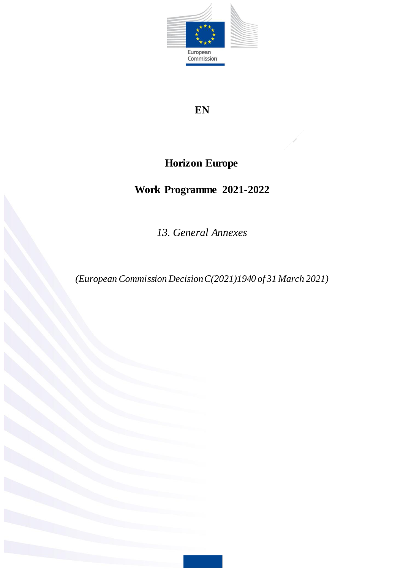

## **EN**

# **Horizon Europe**

# **Work Programme 2021-2022**

*13. General Annexes* 

*(European Commission Decision C(2021)1940 of 31 March 2021)*

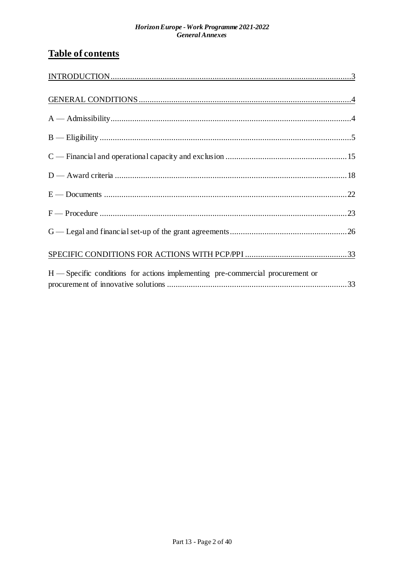## **Table of contents**

| $H$ — Specific conditions for actions implementing pre-commercial procurement or |  |
|----------------------------------------------------------------------------------|--|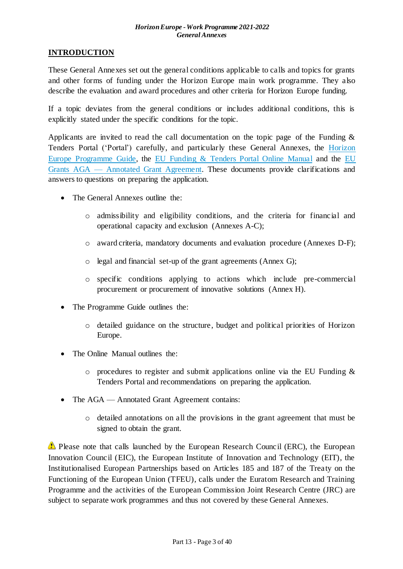## <span id="page-2-0"></span>**INTRODUCTION**

These General Annexes set out the general conditions applicable to calls and topics for grants and other forms of funding under the Horizon Europe main work programme. They also describe the evaluation and award procedures and other criteria for Horizon Europe funding.

If a topic deviates from the general conditions or includes additional conditions, this is explicitly stated under the specific conditions for the topic.

Applicants are invited to read the call documentation on the topic page of the Funding  $\&$ Tenders Portal ('Portal') carefully, and particularly these General Annexes, the [Horizon](https://ec.europa.eu/info/funding-tenders/opportunities/docs/2021-2027/horizon/guidance/programme-guide_horizon_en.pdf)  [Europe Programme Guide,](https://ec.europa.eu/info/funding-tenders/opportunities/docs/2021-2027/horizon/guidance/programme-guide_horizon_en.pdf) the [EU Funding & Tenders Portal Online Manual](https://ec.europa.eu/info/funding-tenders/opportunities/docs/2021-2027/common/guidance/om_en.pdf) and the [EU](https://ec.europa.eu/info/funding-tenders/opportunities/docs/2021-2027/common/guidance/aga_en.pdf)  Grants AGA — [Annotated Grant Agreement.](https://ec.europa.eu/info/funding-tenders/opportunities/docs/2021-2027/common/guidance/aga_en.pdf) These documents provide clarifications and answers to questions on preparing the application.

- The General Annexes outline the:
	- o admissibility and eligibility conditions, and the criteria for financial and operational capacity and exclusion (Annexes A-C);
	- o award criteria, mandatory documents and evaluation procedure (Annexes D-F);
	- o legal and financial set-up of the grant agreements (Annex G);
	- o specific conditions applying to actions which include pre-commercial procurement or procurement of innovative solutions (Annex H).
- The Programme Guide outlines the:
	- o detailed guidance on the structure, budget and political priorities of Horizon Europe.
- The Online Manual outlines the:
	- $\circ$  procedures to register and submit applications online via the EU Funding & Tenders Portal and recommendations on preparing the application.
- The AGA Annotated Grant Agreement contains:
	- o detailed annotations on all the provisions in the grant agreement that must be signed to obtain the grant.

Please note that calls launched by the European Research Council (ERC), the European Innovation Council (EIC), the European Institute of Innovation and Technology (EIT), the Institutionalised European Partnerships based on Articles 185 and 187 of the Treaty on the Functioning of the European Union (TFEU), calls under the Euratom Research and Training Programme and the activities of the European Commission Joint Research Centre (JRC) are subject to separate work programmes and thus not covered by these General Annexes.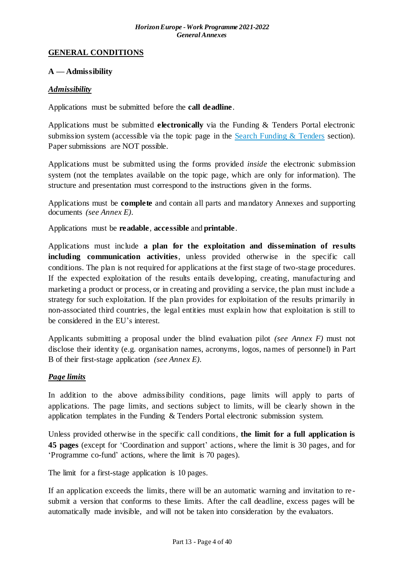#### <span id="page-3-0"></span>**GENERAL CONDITIONS**

#### <span id="page-3-1"></span>**A — Admissibility**

#### *Admissibility*

Applications must be submitted before the **call deadline**.

Applications must be submitted **electronically** via the Funding & Tenders Portal electronic submission system (accessible via the topic page in the Search Funding  $&$  Tenders section). Paper submissions are NOT possible.

Applications must be submitted using the forms provided *inside* the electronic submission system (not the templates available on the topic page, which are only for information). The structure and presentation must correspond to the instructions given in the forms.

Applications must be **complete** and contain all parts and mandatory Annexes and supporting documents *(see Annex E)*.

Applications must be **readable**, **accessible** and **printable**.

Applications must include **a plan for the exploitation and dissemination of results including communication activities**, unless provided otherwise in the specific call conditions. The plan is not required for applications at the first stage of two-stage procedures. If the expected exploitation of the results entails developing, creating, manufacturing and marketing a product or process, or in creating and providing a service, the plan must include a strategy for such exploitation. If the plan provides for exploitation of the results primarily in non-associated third countries, the legal entities must explain how that exploitation is still to be considered in the EU's interest.

Applicants submitting a proposal under the blind evaluation pilot *(see Annex F)* must not disclose their identity (e.g. organisation names, acronyms, logos, names of personnel) in Part B of their first-stage application *(see Annex E)*.

## *Page limits*

In addition to the above admissibility conditions, page limits will apply to parts of applications. The page limits, and sections subject to limits, will be clearly shown in the application templates in the Funding & Tenders Portal electronic submission system.

Unless provided otherwise in the specific call conditions, **the limit for a full application is 45 pages** (except for 'Coordination and support' actions, where the limit is 30 pages, and for 'Programme co-fund' actions, where the limit is 70 pages).

The limit for a first-stage application is 10 pages.

If an application exceeds the limits, there will be an automatic warning and invitation to resubmit a version that conforms to these limits. After the call deadline, excess pages will be automatically made invisible, and will not be taken into consideration by the evaluators.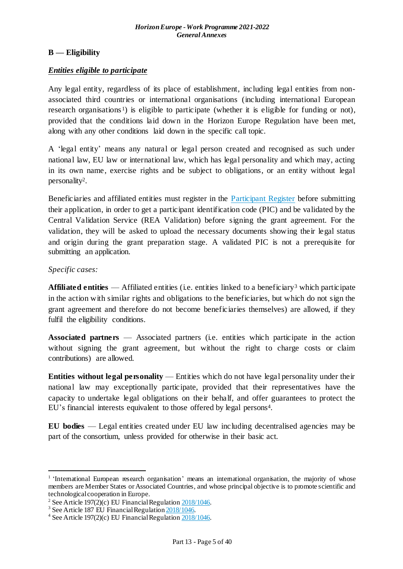## <span id="page-4-0"></span>**B — Eligibility**

#### *Entities eligible to participate*

Any legal entity, regardless of its place of establishment, including legal entities from nonassociated third countries or international organisations (including international European research organisations<sup>1</sup>) is eligible to participate (whether it is eligible for funding or not), provided that the conditions laid down in the Horizon Europe Regulation have been met, along with any other conditions laid down in the specific call topic.

A 'legal entity' means any natural or legal person created and recognised as such under national law, EU law or international law, which has legal personality and which may, acting in its own name, exercise rights and be subject to obligations, or an entity without legal personality<sup>2</sup> .

Beneficiaries and affiliated entities must register in the [Participant Register](https://ec.europa.eu/info/funding-tenders/opportunities/portal/screen/how-to-participate/participant-register) before submitting their application, in order to get a participant identification code (PIC) and be validated by the Central Validation Service (REA Validation) before signing the grant agreement. For the validation, they will be asked to upload the necessary documents showing their legal status and origin during the grant preparation stage. A validated PIC is not a prerequisite for submitting an application.

#### *Specific cases:*

1

**Affiliated entities** — Affiliated entities (i.e. entities linked to a beneficiary<sup>3</sup> which participate in the action with similar rights and obligations to the beneficiaries, but which do not sign the grant agreement and therefore do not become beneficiaries themselves) are allowed, if they fulfil the eligibility conditions.

**Associated partners** — Associated partners (i.e. entities which participate in the action without signing the grant agreement, but without the right to charge costs or claim contributions) are allowed.

**Entities without legal personality** — Entities which do not have legal personality under their national law may exceptionally participate, provided that their representatives have the capacity to undertake legal obligations on their behalf, and offer guarantees to protect the EU's financial interests equivalent to those offered by legal persons<sup>4</sup> .

**EU bodies** — Legal entities created under EU law including decentralised agencies may be part of the consortium, unless provided for otherwise in their basic act.

<sup>&</sup>lt;sup>1</sup> 'International European research organisation' means an international organisation, the majority of whose members are Member States or Associated Countries, and whose principal objective is to promote scientific and technological cooperation in Europe.

<sup>&</sup>lt;sup>2</sup> See Article 197(2)(c) EU Financial Regulation  $2018/1046$ .

<sup>&</sup>lt;sup>3</sup> See Article 187 EU Financial Regulatio[n 2018/1046.](https://eur-lex.europa.eu/legal-content/EN/ALL/?uri=CELEX:32018R1046&qid=1535046024012)

<sup>4</sup> See Article 197(2)(c) EU Financial Regulatio[n 2018/1046.](https://eur-lex.europa.eu/legal-content/EN/ALL/?uri=CELEX:32018R1046&qid=1535046024012)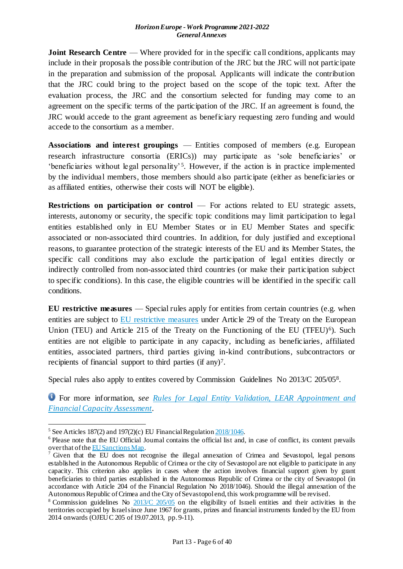**Joint Research Centre** — Where provided for in the specific call conditions, applicants may include in their proposals the possible contribution of the JRC but the JRC will not participate in the preparation and submission of the proposal. Applicants will indicate the contribution that the JRC could bring to the project based on the scope of the topic text. After the evaluation process, the JRC and the consortium selected for funding may come to an agreement on the specific terms of the participation of the JRC. If an agreement is found, the JRC would accede to the grant agreement as beneficiary requesting zero funding and would accede to the consortium as a member.

**Associations and interest groupings** — Entities composed of members (e.g. European research infrastructure consortia (ERICs)) may participate as 'sole beneficiaries' or 'beneficiaries without legal personality'<sup>5</sup>. However, if the action is in practice implemented by the individual members, those members should also participate (either as beneficiaries or as affiliated entities, otherwise their costs will NOT be eligible).

**Restrictions on participation or control** — For actions related to EU strategic assets, interests, autonomy or security, the specific topic conditions may limit participation to legal entities established only in EU Member States or in EU Member States and specific associated or non-associated third countries. In addition, for duly justified and exceptional reasons, to guarantee protection of the strategic interests of the EU and its Member States, the specific call conditions may also exclude the participation of legal entities directly or indirectly controlled from non-associated third countries (or make their participation subject to specific conditions). In this case, the eligible countries will be identified in the specific call conditions.

**EU restrictive measures** — Special rules apply for entities from certain countries (e.g. when entities are subject to [EU restrictive measures](http://www.sanctionsmap.eu/) under Article 29 of the Treaty on the European Union (TEU) and Article 215 of the Treaty on the Functioning of the EU (TFEU)<sup>6</sup>). Such entities are not eligible to participate in any capacity, including as beneficiaries, affiliated entities, associated partners, third parties giving in-kind contributions, subcontractors or recipients of financial support to third parties (if any)<sup>7</sup>.

Special rules also apply to entites covered by Commission Guidelines No 2013/C 205/05<sup>8</sup>.

For more information, *see [Rules for Legal Entity Validation, LEAR Appointment and](https://ec.europa.eu/info/funding-tenders/opportunities/docs/2021-2027/common/guidance/rules-lev-lear-fca_en.pdf)  [Financial Capacity Assessment](https://ec.europa.eu/info/funding-tenders/opportunities/docs/2021-2027/common/guidance/rules-lev-lear-fca_en.pdf)*.

1

<sup>&</sup>lt;sup>5</sup> See Articles 187(2) and 197(2)(c) EU Financial Regulation  $\frac{2018}{1046}$ .

<sup>6</sup> Please note that the EU Official Journal contains the official list and, in case of conflict, its content prevails over that of th[e EU Sanctions Map](http://www.sanctionsmap.eu/).

<sup>7</sup> Given that the EU does not recognise the illegal annexation of Crimea and Sevastopol, legal persons established in the Autonomous Republic of Crimea or the city of Sevastopol are not eligible to participate in any capacity. This criterion also applies in cases where the action involves financial support given by grant beneficiaries to third parties established in the Autonomous Republic of Crimea or the city of Sevastopol (in accordance with Article 204 of the Financial Regulation No 2018/1046). Should the illegal annexation of the Autonomous Republic of Crimea and the City of Sevastopol end, this work programme will be revised.

<sup>&</sup>lt;sup>8</sup> Commission guidelines No [2013/C 205/05](http://eur-lex.europa.eu/LexUriServ/LexUriServ.do?uri=OJ:C:2013:205:FULL:EN:PDF) on the eligibility of Israeli entities and their activities in the territories occupied by Israel since June 1967 for grants, prizes and financial instruments funded by the EU from 2014 onwards (OJEU C 205 of 19.07.2013, pp. 9-11).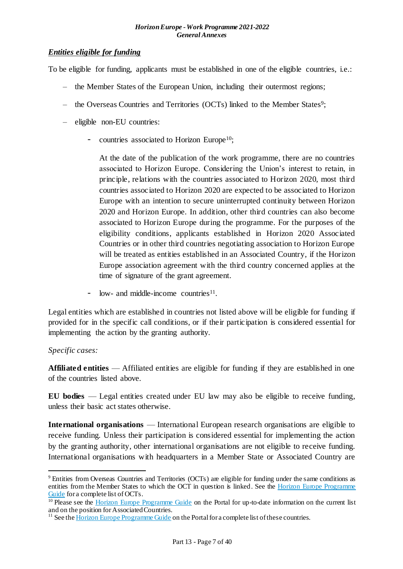#### *Entities eligible for funding*

To be eligible for funding, applicants must be established in one of the eligible countries, i.e.:

- the Member States of the European Union, including their outermost regions;
- the Overseas Countries and Territories (OCTs) linked to the Member States<sup>9</sup>;
- eligible non-EU countries:
	- countries associated to Horizon Europe<sup>10</sup>;

At the date of the publication of the work programme, there are no countries associated to Horizon Europe. Considering the Union's interest to retain, in principle, relations with the countries associated to Horizon 2020, most third countries associated to Horizon 2020 are expected to be associated to Horizon Europe with an intention to secure uninterrupted continuity between Horizon 2020 and Horizon Europe. In addition, other third countries can also become associated to Horizon Europe during the programme. For the purposes of the eligibility conditions, applicants established in Horizon 2020 Associated Countries or in other third countries negotiating association to Horizon Europe will be treated as entities established in an Associated Country, if the Horizon Europe association agreement with the third country concerned applies at the time of signature of the grant agreement.

- low- and middle-income countries<sup>11</sup>.

Legal entities which are established in countries not listed above will be eligible for funding if provided for in the specific call conditions, or if their participation is considered essential for implementing the action by the granting authority.

## *Specific cases:*

1

**Affiliated entities** — Affiliated entities are eligible for funding if they are established in one of the countries listed above.

**EU bodies** — Legal entities created under EU law may also be eligible to receive funding, unless their basic act states otherwise.

**International organisations** — International European research organisations are eligible to receive funding. Unless their participation is considered essential for implementing the action by the granting authority, other international organisations are not eligible to receive funding. International organisations with headquarters in a Member State or Associated Country are

<sup>9</sup> Entities from Overseas Countries and Territories (OCTs) are eligible for funding under the same conditions as entities from the Member States to which the OCT in question is linked. See the Horizon Europe Programme [Guide](https://ec.europa.eu/info/funding-tenders/opportunities/docs/2021-2027/horizon/guidance/programme-guide_horizon_en.pdf) for a complete list of OCTs.

 $\frac{10 \text{ Please see the Horizon Europe Programme Guide}}{10 \text{Poisson}}$  $\frac{10 \text{ Please see the Horizon Europe Programme Guide}}{10 \text{Poisson}}$  $\frac{10 \text{ Please see the Horizon Europe Programme Guide}}{10 \text{Poisson}}$  Guide on the Portal for up-to-date information on the current list and on the position for Associated Countries.

 $11$  See th[e Horizon Europe Programme Guide](https://ec.europa.eu/info/funding-tenders/opportunities/docs/2021-2027/horizon/guidance/programme-guide_horizon_en.pdf) on the Portal for a complete list of these countries.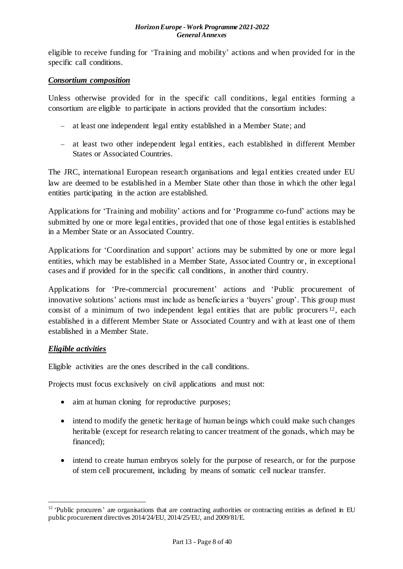eligible to receive funding for 'Training and mobility' actions and when provided for in the specific call conditions.

#### *Consortium composition*

Unless otherwise provided for in the specific call conditions, legal entities forming a consortium are eligible to participate in actions provided that the consortium includes:

- at least one independent legal entity established in a Member State; and
- at least two other independent legal entities, each established in different Member States or Associated Countries.

The JRC, international European research organisations and legal entities created under EU law are deemed to be established in a Member State other than those in which the other legal entities participating in the action are established.

Applications for 'Training and mobility' actions and for 'Programme co-fund' actions may be submitted by one or more legal entities, provided that one of those legal entities is established in a Member State or an Associated Country.

Applications for 'Coordination and support' actions may be submitted by one or more legal entities, which may be established in a Member State, Associated Country or, in exceptional cases and if provided for in the specific call conditions, in another third country.

Applications for 'Pre-commercial procurement' actions and 'Public procurement of innovative solutions' actions must include as beneficiaries a 'buyers' group'. This group must consist of a minimum of two independent legal entities that are public procurers <sup>12</sup>, each established in a different Member State or Associated Country and with at least one of them established in a Member State.

## *Eligible activities*

1

Eligible activities are the ones described in the call conditions.

Projects must focus exclusively on civil applications and must not:

- aim at human cloning for reproductive purposes;
- intend to modify the genetic heritage of human beings which could make such changes heritable (except for research relating to cancer treatment of the gonads, which may be financed);
- intend to create human embryos solely for the purpose of research, or for the purpose of stem cell procurement, including by means of somatic cell nuclear transfer.

<sup>&</sup>lt;sup>12</sup> 'Public procurers' are organisations that are contracting authorities or contracting entities as defined in EU public procurement directives 2014/24/EU, 2014/25/EU, and 2009/81/E.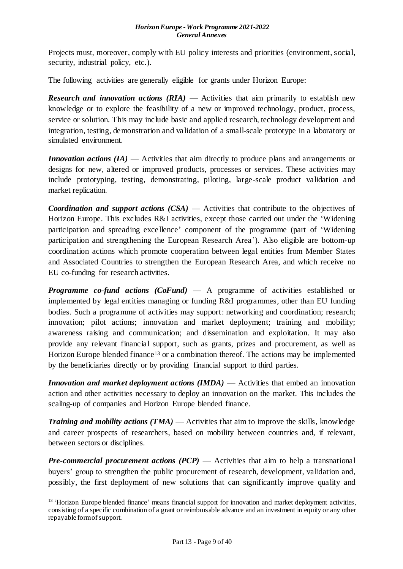Projects must, moreover, comply with EU policy interests and priorities (environment, social, security, industrial policy, etc.)*.*

The following activities are generally eligible for grants under Horizon Europe:

*Research and innovation actions (RIA)* — Activities that aim primarily to establish new knowledge or to explore the feasibility of a new or improved technology, product, process, service or solution. This may include basic and applied research, technology development and integration, testing, demonstration and validation of a small-scale prototype in a laboratory or simulated environment.

*Innovation actions (IA)* — Activities that aim directly to produce plans and arrangements or designs for new, altered or improved products, processes or services. These activities may include prototyping, testing, demonstrating, piloting, large-scale product validation and market replication.

*Coordination and support actions (CSA)* — Activities that contribute to the objectives of Horizon Europe. This excludes R&I activities, except those carried out under the 'Widening participation and spreading excellence' component of the programme (part of 'Widening participation and strengthening the European Research Area'). Also eligible are bottom-up coordination actions which promote cooperation between legal entities from Member States and Associated Countries to strengthen the European Research Area, and which receive no EU co-funding for research activities.

*Programme co-fund actions (CoFund)* — A programme of activities established or implemented by legal entities managing or funding R&I programmes, other than EU funding bodies. Such a programme of activities may support: networking and coordination; research; innovation; pilot actions; innovation and market deployment; training and mobility; awareness raising and communication; and dissemination and exploitation. It may also provide any relevant financial support, such as grants, prizes and procurement, as well as Horizon Europe blended finance<sup>13</sup> or a combination thereof. The actions may be implemented by the beneficiaries directly or by providing financial support to third parties.

*Innovation and market deployment actions (IMDA)* — Activities that embed an innovation action and other activities necessary to deploy an innovation on the market. This includes the scaling-up of companies and Horizon Europe blended finance.

*Training and mobility actions (TMA)* — Activities that aim to improve the skills, knowledge and career prospects of researchers, based on mobility between countries and, if relevant, between sectors or disciplines.

*Pre-commercial procurement actions (PCP)* — Activities that aim to help a transnational buyers' group to strengthen the public procurement of research, development, validation and, possibly, the first deployment of new solutions that can significantly improve quality and

1

<sup>&</sup>lt;sup>13</sup> 'Horizon Europe blended finance' means financial support for innovation and market deployment activities, consisting of a specific combination of a grant or reimbursable advance and an investment in equity or any other repayable form of support.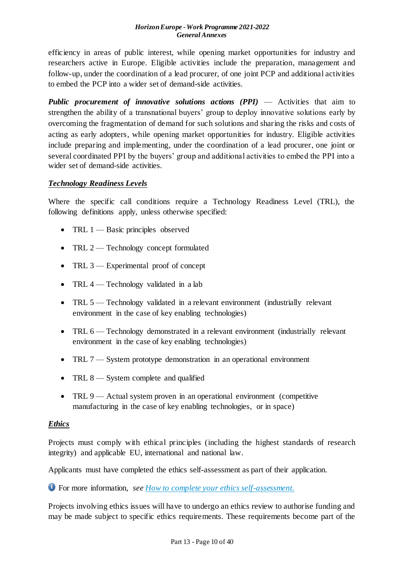efficiency in areas of public interest, while opening market opportunities for industry and researchers active in Europe. Eligible activities include the preparation, management and follow-up, under the coordination of a lead procurer, of one joint PCP and additional activities to embed the PCP into a wider set of demand-side activities.

*Public procurement of innovative solutions actions (PPI)* — Activities that aim to strengthen the ability of a transnational buyers' group to deploy innovative solutions early by overcoming the fragmentation of demand for such solutions and sharing the risks and costs of acting as early adopters, while opening market opportunities for industry. Eligible activities include preparing and implementing, under the coordination of a lead procurer, one joint or several coordinated PPI by the buyers' group and additional activities to embed the PPI into a wider set of demand-side activities.

## *Technology Readiness Levels*

Where the specific call conditions require a Technology Readiness Level (TRL), the following definitions apply, unless otherwise specified:

- TRL  $1$  Basic principles observed
- TRL 2 Technology concept formulated
- TRL 3 Experimental proof of concept
- TRL  $4$  Technology validated in a lab
- TRL 5 Technology validated in a relevant environment (industrially relevant environment in the case of key enabling technologies)
- TRL 6 Technology demonstrated in a relevant environment (industrially relevant environment in the case of key enabling technologies)
- TRL 7 System prototype demonstration in an operational environment
- TRL 8 System complete and qualified
- TRL  $9$  Actual system proven in an operational environment (competitive manufacturing in the case of key enabling technologies, or in space)

## *Ethics*

Projects must comply with ethical principles (including the highest standards of research integrity) and applicable EU, international and national law.

Applicants must have completed the ethics self-assessment as part of their application.

For more information, *see [How to complete your ethics self-assessment](https://ec.europa.eu/info/funding-tenders/opportunities/docs/2021-2027/horizon/guidance/programme-guide_horizon_en.pdf).*

Projects involving ethics issues will have to undergo an ethics review to authorise funding and may be made subject to specific ethics requirements. These requirements become part of the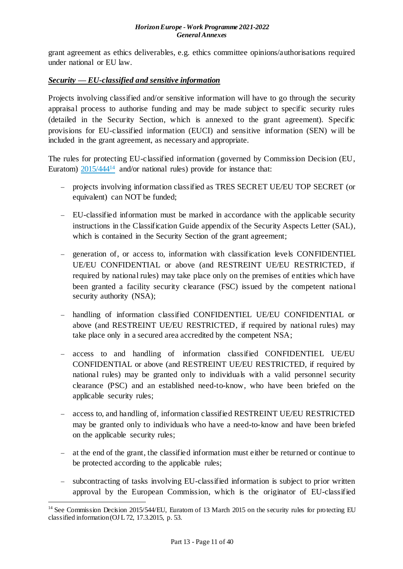grant agreement as ethics deliverables, e*.*g. ethics committee opinions/authorisations required under national or EU law.

## *Security* **—** *EU-classified and sensitive information*

Projects involving classified and/or sensitive information will have to go through the security appraisal process to authorise funding and may be made subject to specific security rules (detailed in the Security Section, which is annexed to the grant agreement). Specific provisions for EU-classified information (EUCI) and sensitive information (SEN) will be included in the grant agreement, as necessary and appropriate.

The rules for protecting EU-classified information (governed by Commission Decision (EU, Euratom)  $2015/444^{14}$  and/or national rules) provide for instance that:

- projects involving information classified as TRES SECRET UE/EU TOP SECRET (or equivalent) can NOT be funded;
- EU-classified information must be marked in accordance with the applicable security instructions in the Classification Guide appendix of the Security Aspects Letter (SAL), which is contained in the Security Section of the grant agreement;
- generation of, or access to, information with classification levels CONFIDENTIEL UE/EU CONFIDENTIAL or above (and RESTREINT UE/EU RESTRICTED, if required by national rules) may take place only on the premises of entities which have been granted a facility security clearance (FSC) issued by the competent national security authority (NSA);
- handling of information classified CONFIDENTIEL UE/EU CONFIDENTIAL or above (and RESTREINT UE/EU RESTRICTED, if required by national rules) may take place only in a secured area accredited by the competent NSA;
- access to and handling of information classified CONFIDENTIEL UE/EU CONFIDENTIAL or above (and RESTREINT UE/EU RESTRICTED, if required by national rules) may be granted only to individuals with a valid personnel security clearance (PSC) and an established need-to-know, who have been briefed on the applicable security rules;
- access to, and handling of, information classified RESTREINT UE/EU RESTRICTED may be granted only to individuals who have a need-to-know and have been briefed on the applicable security rules;
- at the end of the grant, the classified information must either be returned or continue to be protected according to the applicable rules;
- subcontracting of tasks involving EU-classified information is subject to prior written approval by the European Commission, which is the originator of EU-classified

1

<sup>&</sup>lt;sup>14</sup> See Commission Decision 2015/544/EU, Euratom of 13 March 2015 on the security rules for protecting EU classified information (OJ L 72, 17.3.2015, p. 53.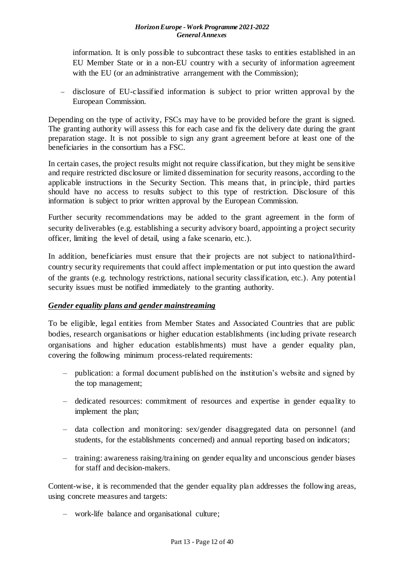information. It is only possible to subcontract these tasks to entities established in an EU Member State or in a non-EU country with a security of information agreement with the EU (or an administrative arrangement with the Commission);

- disclosure of EU-classified information is subject to prior written approval by the European Commission.

Depending on the type of activity, FSCs may have to be provided before the grant is signed. The granting authority will assess this for each case and fix the delivery date during the grant preparation stage. It is not possible to sign any grant agreement before at least one of the beneficiaries in the consortium has a FSC.

In certain cases, the project results might not require classification, but they might be sensitive and require restricted disclosure or limited dissemination for security reasons, according to the applicable instructions in the Security Section. This means that, in principle, third parties should have no access to results subject to this type of restriction. Disclosure of this information is subject to prior written approval by the European Commission.

Further security recommendations may be added to the grant agreement in the form of security deliverables (e.g. establishing a security advisory board, appointing a project security officer, limiting the level of detail, using a fake scenario, etc.).

In addition, beneficiaries must ensure that their projects are not subject to national/thirdcountry security requirements that could affect implementation or put into question the award of the grants (e.g. technology restrictions, national security classification, etc.). Any potential security issues must be notified immediately to the granting authority.

## *Gender equality plans and gender mainstreaming*

To be eligible, legal entities from Member States and Associated Countries that are public bodies, research organisations or higher education establishments (including private research organisations and higher education establishments) must have a gender equality plan, covering the following minimum process-related requirements:

- publication: a formal document published on the institution's website and signed by the top management;
- dedicated resources: commitment of resources and expertise in gender equality to implement the plan;
- data collection and monitoring: sex/gender disaggregated data on personnel (and students, for the establishments concerned) and annual reporting based on indicators;
- training: awareness raising/training on gender equality and unconscious gender biases for staff and decision-makers.

Content-wise, it is recommended that the gender equality plan addresses the following areas, using concrete measures and targets:

– work-life balance and organisational culture;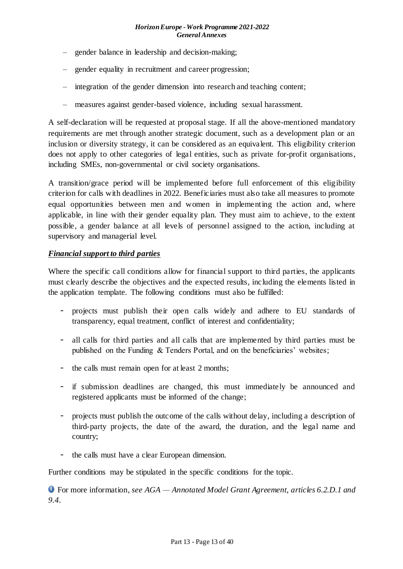- gender balance in leadership and decision-making;
- gender equality in recruitment and career progression;
- integration of the gender dimension into research and teaching content;
- measures against gender-based violence, including sexual harassment.

A self-declaration will be requested at proposal stage. If all the above-mentioned mandatory requirements are met through another strategic document, such as a development plan or an inclusion or diversity strategy, it can be considered as an equivalent. This eligibility criterion does not apply to other categories of legal entities, such as private for-profit organisations, including SMEs, non-governmental or civil society organisations.

A transition/grace period will be implemented before full enforcement of this eligibility criterion for calls with deadlines in 2022. Beneficiaries must also take all measures to promote equal opportunities between men and women in implementing the action and, where applicable, in line with their gender equality plan. They must aim to achieve, to the extent possible, a gender balance at all levels of personnel assigned to the action, including at supervisory and managerial level.

#### *Financial support to third parties*

Where the specific call conditions allow for financial support to third parties, the applicants must clearly describe the objectives and the expected results, including the elements listed in the application template. The following conditions must also be fulfilled:

- projects must publish their open calls widely and adhere to EU standards of transparency, equal treatment, conflict of interest and confidentiality;
- all calls for third parties and all calls that are implemented by third parties must be published on the Funding & Tenders Portal, and on the beneficiaries' websites;
- the calls must remain open for at least 2 months;
- if submission deadlines are changed, this must immediately be announced and registered applicants must be informed of the change;
- projects must publish the outcome of the calls without delay, including a description of third-party projects, the date of the award, the duration, and the legal name and country;
- the calls must have a clear European dimension.

Further conditions may be stipulated in the specific conditions for the topic.

For more information, *see AGA — Annotated Model Grant Agreement, articles 6.2.D.1 and 9.4.*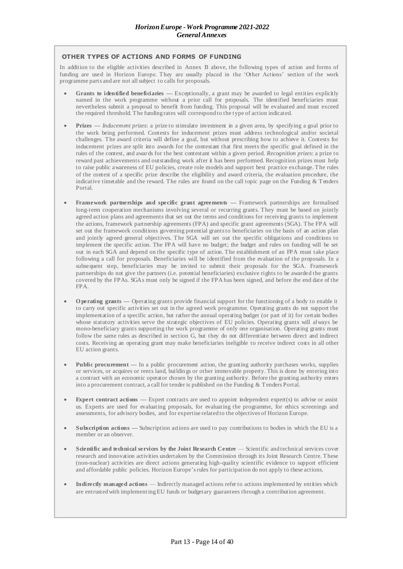#### **OTHER TYPES OF ACTIONS AND FORMS OF FUNDING**

In addition to the eligible activities described in Annex B above, the following types of action and forms of funding are used in Horizon Europe. They are usually placed in the 'Other Actions' section of the work programme parts and are not all subject to calls for proposals.

- **Grants to identified beneficiaries Exceptionally, a grant may be awarded to legal entities explicitly** named in the work programme without a prior call for proposals. The identified beneficiaries must nevertheless submit a proposal to benefit from funding. This proposal will be evaluated and must exceed the required threshold. The funding rates will correspond to the type of action indicated.
- **Prizes —** *Inducement prizes*: a prize to stimulate investment in a given area, by specifying a goal prior to the work being performed. Contests for inducement prizes must address technological and/or societal challenges. The award criteria will define a goal, but without prescribing how to achieve it. Contests for inducement prizes are split into awards for the contestant that first meets the specific goal defined in the rules of the contest, and awards for the best contestant within a given period. *Recognition prizes*: a prize to reward past achievements and outstanding work after it has been performed. Recognition prizes must help to raise public awareness of EU policies, create role models and support best practice exchange. The rules of the contest of a specific prize describe the eligibility and award criteria, the evaluation procedure, the indicative timetable and the reward. The rules are found on the call topic page on the Funding & Tenders Portal.
- **Framework partnerships and specific grant agreements —** Framework partnerships are formalised long-term cooperation mechanisms involving several or recurring grants. They must be based on jointly agreed action plans and agreements that set out the terms and conditions for receiving grants to implement the actions, framework partnership agreements (FPA) and specific grant agreements (SGA). The FPA will set out the framework conditions governing potential grants to beneficiaries on the basis of an action plan and jointly agreed general objectives. The SGA will set out the specific obligations and conditions to implement the specific action. The FPA will have no budget; the budget and rules on funding will be set out in each SGA and depend on the specific type of action. The establishment of an FPA must take place following a call for proposals. Beneficiaries will be identified from the evaluation of the proposals. In a subsequent step, beneficiaries may be invited to submit their proposals for the SGA. Framework partnerships do not give the partners (i.e. potential beneficiaries) exclusive rights to be awarded the grants covered by the FPAs. SGAs must only be signed if the FPA has been signed, and before the end date of the FPA.
- **O perating grants —** Operating grants provide financial support for the functioning of a body to enable it to carry out specific activities set out in the agreed work programme. Operating grants do not support the implementation of a specific action, but rather the annual operating budget (or part of it) for certain bodies whose statutory activities serve the strategic objectives of EU policies. Operating grants will always be mono-beneficiary grants supporting the work programme of only one organisation. Operating grants must follow the same rules as described in section G, but they do not differentiate between direct and indirect costs. Receiving an operating grant may make beneficiaries ineligible to receive indirect costs in all other EU action grants.
- **Public procurement In a public procurement action, the granting authority purchases works, supplies** or services, or acquires or rents land, buildin gs or other immovable property. This is done by entering into a contract with an economic operator chosen by the granting authority. Before the granting authority enters into a procurement contract, a call for tender is published on the Funding & Tenders Portal.
- **Expert contract actions —** Expert contracts are used to appoint independent expert(s) to advise or assist us. Experts are used for evaluating proposals, for evaluating the programme, for ethics screenings and assessments, for advisory bodies, and for expertise related to the objectives of Horizon Europe.
- **Subscription actions —** Subscription actions are used to pay contributions to bodies in which the EU is a member or an observer.
- **Scientific and technical services by the Joint Research Centre** Scientific and technical services cover research and innovation activities undertaken by the Commission through its Joint Research Centre. These (non-nuclear) activities are direct actions generating high-quality scientific evidence to support efficient and affordable public policies. Horizon Europe'srules for participation do not apply to these actions.
- **Indirectly managed actions** Indirectly managed actions refer to actions implemented by entities which are entrusted with implementingEU funds or budgetary guarantees through a contribution agreement.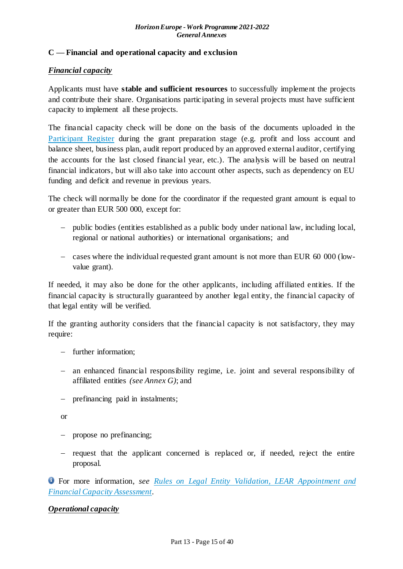#### <span id="page-14-0"></span>**C — Financial and operational capacity and exclusion**

#### *Financial capacity*

Applicants must have **stable and sufficient resources** to successfully implement the projects and contribute their share. Organisations participating in several projects must have sufficient capacity to implement all these projects.

The financial capacity check will be done on the basis of the documents uploaded in the [Participant Register](https://ec.europa.eu/info/funding-tenders/opportunities/portal/screen/how-to-participate/participant-register) during the grant preparation stage (e.g. profit and loss account and balance sheet, business plan, audit report produced by an approved external auditor, certifying the accounts for the last closed financial year, etc.). The analysis will be based on neutral financial indicators, but will also take into account other aspects, such as dependency on EU funding and deficit and revenue in previous years.

The check will normally be done for the coordinator if the requested grant amount is equal to or greater than EUR 500 000, except for:

- public bodies (entities established as a public body under national law, including local, regional or national authorities) or international organisations; and
- cases where the individual requested grant amount is not more than EUR 60 000 (lowvalue grant).

If needed, it may also be done for the other applicants, including affiliated entities. If the financial capacity is structurally guaranteed by another legal entity, the financial capacity of that legal entity will be verified.

If the granting authority considers that the financial capacity is not satisfactory, they may require:

- further information:
- an enhanced financial responsibility regime, i.e. joint and several responsibility of affiliated entities *(see Annex G)*; and
- prefinancing paid in instalments;

or

- propose no prefinancing;
- request that the applicant concerned is replaced or, if needed, reject the entire proposal.

For more information, *see [Rules on Legal Entity Validation, LEAR Appointment and](https://ec.europa.eu/info/funding-tenders/opportunities/docs/2021-2027/common/guidance/rules-lev-lear-fca_en.pdf)  [Financial Capacity Assessment](https://ec.europa.eu/info/funding-tenders/opportunities/docs/2021-2027/common/guidance/rules-lev-lear-fca_en.pdf)*.

#### *Operational capacity*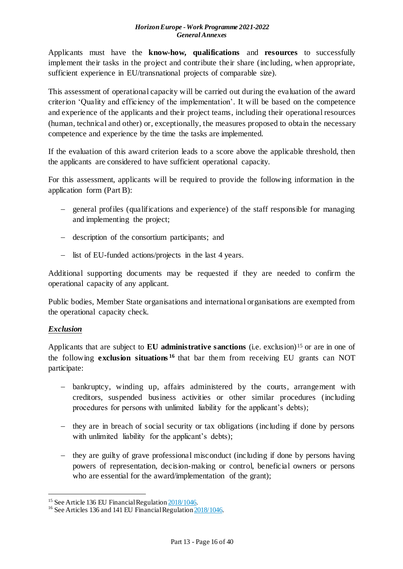Applicants must have the **know-how, qualifications** and **resources** to successfully implement their tasks in the project and contribute their share (including, when appropriate, sufficient experience in EU/transnational projects of comparable size).

This assessment of operational capacity will be carried out during the evaluation of the award criterion 'Quality and efficiency of the implementation'. It will be based on the competence and experience of the applicants and their project teams, including their operational resources (human, technical and other) or, exceptionally, the measures proposed to obtain the necessary competence and experience by the time the tasks are implemented.

If the evaluation of this award criterion leads to a score above the applicable threshold, then the applicants are considered to have sufficient operational capacity.

For this assessment, applicants will be required to provide the following information in the application form (Part B):

- general profiles (qualifications and experience) of the staff responsible for managing and implementing the project;
- description of the consortium participants; and
- list of EU-funded actions/projects in the last 4 years.

Additional supporting documents may be requested if they are needed to confirm the operational capacity of any applicant.

Public bodies, Member State organisations and international organisations are exempted from the operational capacity check.

## *Exclusion*

1

Applicants that are subject to **EU administrative sanctions** (i.e. exclusion)<sup>15</sup> or are in one of the following **exclusion situations <sup>16</sup>** that bar them from receiving EU grants can NOT participate:

- bankruptcy, winding up, affairs administered by the courts, arrangement with creditors, suspended business activities or other similar procedures (including procedures for persons with unlimited liability for the applicant's debts);
- $\theta$  they are in breach of social security or tax obligations (including if done by persons with unlimited liability for the applicant's debts);
- $\theta$  they are guilty of grave professional misconduct (including if done by persons having powers of representation, decision-making or control, beneficial owners or persons who are essential for the award/implementation of the grant);

<sup>&</sup>lt;sup>15</sup> See Article 136 EU Financial Regulation  $\frac{2018}{1046}$ .

<sup>&</sup>lt;sup>16</sup> See Articles 136 and 141 EU Financial Regulatio[n 2018/1046.](https://eur-lex.europa.eu/legal-content/EN/ALL/?uri=CELEX:32018R1046&qid=1535046024012)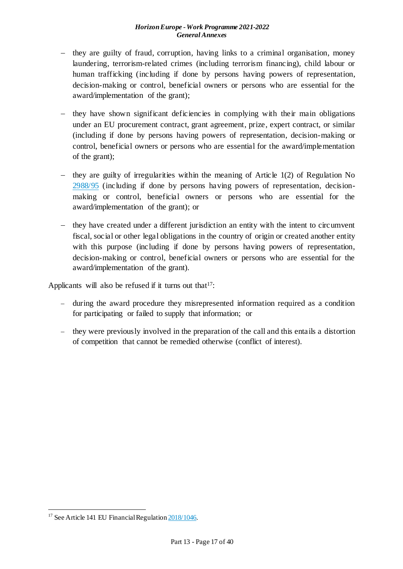- $-$  they are guilty of fraud, corruption, having links to a criminal organisation, money laundering, terrorism-related crimes (including terrorism financing), child labour or human trafficking (including if done by persons having powers of representation, decision-making or control, beneficial owners or persons who are essential for the award/implementation of the grant);
- $-$  they have shown significant deficiencies in complying with their main obligations under an EU procurement contract, grant agreement, prize, expert contract, or similar (including if done by persons having powers of representation, decision-making or control, beneficial owners or persons who are essential for the award/implementation of the grant);
- $-$  they are guilty of irregularities within the meaning of Article 1(2) of Regulation No [2988/95](http://eur-lex.europa.eu/legal-content/EN/ALL/?uri=CELEX:31995R2988&qid=1501598622514) (including if done by persons having powers of representation, decisionmaking or control, beneficial owners or persons who are essential for the award/implementation of the grant); or
- they have created under a different jurisdiction an entity with the intent to circumvent fiscal, social or other legal obligations in the country of origin or created another entity with this purpose (including if done by persons having powers of representation, decision-making or control, beneficial owners or persons who are essential for the award/implementation of the grant).

Applicants will also be refused if it turns out that  $17$ :

- during the award procedure they misrepresented information required as a condition for participating or failed to supply that information; or
- $\theta$  they were previously involved in the preparation of the call and this entails a distortion of competition that cannot be remedied otherwise (conflict of interest).

.

<sup>&</sup>lt;sup>17</sup> See Article 141 EU Financial Regulatio[n 2018/1046.](https://eur-lex.europa.eu/legal-content/EN/ALL/?uri=CELEX:32018R1046&qid=1535046024012)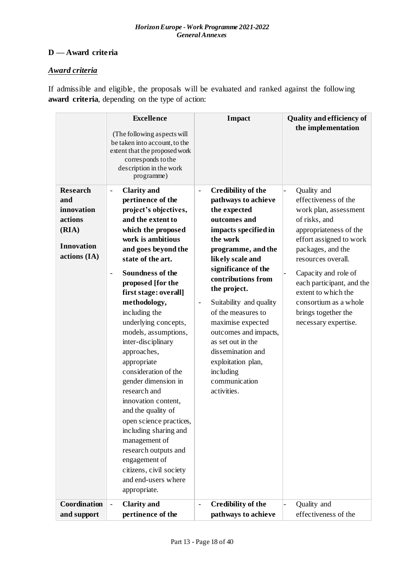## <span id="page-17-0"></span>**D — Award criteria**

## *Award criteria*

If admissible and eligible, the proposals will be evaluated and ranked against the following **award criteria**, depending on the type of action:

| <b>Research</b>   | <b>Excellence</b><br>(The following aspects will<br>be taken into account, to the<br>extent that the proposed work<br>corresponds to the<br>description in the work<br>programme)<br><b>Clarity</b> and<br>$\overline{\phantom{a}}$                                                                                                                                                                                                                                                                                                           | <b>Impact</b><br><b>Credibility of the</b><br>$\blacksquare$                                                                                                                                                                                                                                                                 | <b>Quality and efficiency of</b><br>the implementation<br>Quality and                                                                                                  |
|-------------------|-----------------------------------------------------------------------------------------------------------------------------------------------------------------------------------------------------------------------------------------------------------------------------------------------------------------------------------------------------------------------------------------------------------------------------------------------------------------------------------------------------------------------------------------------|------------------------------------------------------------------------------------------------------------------------------------------------------------------------------------------------------------------------------------------------------------------------------------------------------------------------------|------------------------------------------------------------------------------------------------------------------------------------------------------------------------|
| and<br>innovation | pertinence of the<br>project's objectives,                                                                                                                                                                                                                                                                                                                                                                                                                                                                                                    | pathways to achieve<br>the expected                                                                                                                                                                                                                                                                                          | effectiveness of the<br>work plan, assessment                                                                                                                          |
| actions           | and the extent to                                                                                                                                                                                                                                                                                                                                                                                                                                                                                                                             | outcomes and                                                                                                                                                                                                                                                                                                                 | of risks, and                                                                                                                                                          |
| (RIA)             | which the proposed                                                                                                                                                                                                                                                                                                                                                                                                                                                                                                                            | impacts specified in                                                                                                                                                                                                                                                                                                         | appropriateness of the                                                                                                                                                 |
| <b>Innovation</b> | work is ambitious                                                                                                                                                                                                                                                                                                                                                                                                                                                                                                                             | the work                                                                                                                                                                                                                                                                                                                     | effort assigned to work                                                                                                                                                |
| actions (IA)      | and goes beyond the                                                                                                                                                                                                                                                                                                                                                                                                                                                                                                                           | programme, and the                                                                                                                                                                                                                                                                                                           | packages, and the                                                                                                                                                      |
|                   | state of the art.<br><b>Soundness of the</b><br>$\blacksquare$<br>proposed [for the<br>first stage: overall]<br>methodology,<br>including the<br>underlying concepts,<br>models, assumptions,<br>inter-disciplinary<br>approaches,<br>appropriate<br>consideration of the<br>gender dimension in<br>research and<br>innovation content,<br>and the quality of<br>open science practices,<br>including sharing and<br>management of<br>research outputs and<br>engagement of<br>citizens, civil society<br>and end-users where<br>appropriate. | likely scale and<br>significance of the<br>contributions from<br>the project.<br>Suitability and quality<br>$\overline{\phantom{a}}$<br>of the measures to<br>maximise expected<br>outcomes and impacts,<br>as set out in the<br>dissemination and<br>exploitation plan,<br><i>including</i><br>communication<br>activities. | resources overall.<br>Capacity and role of<br>each participant, and the<br>extent to which the<br>consortium as a whole<br>brings together the<br>necessary expertise. |
| Coordination      | <b>Clarity</b> and<br>$\overline{\phantom{a}}$                                                                                                                                                                                                                                                                                                                                                                                                                                                                                                | <b>Credibility of the</b><br>$\Box$                                                                                                                                                                                                                                                                                          | Quality and                                                                                                                                                            |
| and support       | pertinence of the                                                                                                                                                                                                                                                                                                                                                                                                                                                                                                                             | pathways to achieve                                                                                                                                                                                                                                                                                                          | effectiveness of the                                                                                                                                                   |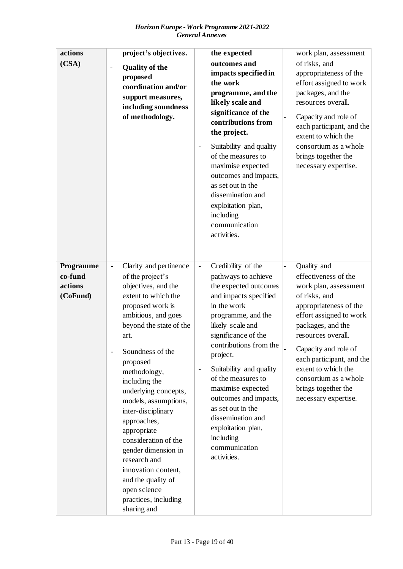| actions<br>(CSA)                            | project's objectives.<br><b>Quality of the</b><br>$\qquad \qquad \blacksquare$<br>proposed<br>coordination and/or<br>support measures,<br>including soundness<br>of methodology.                                                                                                                                                                                                                                                                                                                                                | the expected<br>outcomes and<br>impacts specified in<br>the work<br>programme, and the<br>likely scale and<br>significance of the<br>contributions from<br>the project.<br>Suitability and quality<br>of the measures to<br>maximise expected<br>outcomes and impacts,<br>as set out in the<br>dissemination and<br>exploitation plan,<br>including<br>communication<br>activities.                                                                                 | work plan, assessment<br>of risks, and<br>appropriateness of the<br>effort assigned to work<br>packages, and the<br>resources overall.<br>Capacity and role of<br>each participant, and the<br>extent to which the<br>consortium as a whole<br>brings together the<br>necessary expertise.                                        |
|---------------------------------------------|---------------------------------------------------------------------------------------------------------------------------------------------------------------------------------------------------------------------------------------------------------------------------------------------------------------------------------------------------------------------------------------------------------------------------------------------------------------------------------------------------------------------------------|---------------------------------------------------------------------------------------------------------------------------------------------------------------------------------------------------------------------------------------------------------------------------------------------------------------------------------------------------------------------------------------------------------------------------------------------------------------------|-----------------------------------------------------------------------------------------------------------------------------------------------------------------------------------------------------------------------------------------------------------------------------------------------------------------------------------|
| Programme<br>co-fund<br>actions<br>(CoFund) | Clarity and pertinence<br>$\frac{1}{2}$<br>of the project's<br>objectives, and the<br>extent to which the<br>proposed work is<br>ambitious, and goes<br>beyond the state of the<br>art.<br>Soundness of the<br>proposed<br>methodology,<br>including the<br>underlying concepts,<br>models, assumptions,<br>inter-disciplinary<br>approaches,<br>appropriate<br>consideration of the<br>gender dimension in<br>research and<br>innovation content,<br>and the quality of<br>open science<br>practices, including<br>sharing and | Credibility of the<br>$\Box$<br>pathways to achieve<br>the expected outcomes<br>and impacts specified<br>in the work<br>programme, and the<br>likely scale and<br>significance of the<br>contributions from the<br>project.<br>Suitability and quality<br>$\overline{\phantom{a}}$<br>of the measures to<br>maximise expected<br>outcomes and impacts,<br>as set out in the<br>dissemination and<br>exploitation plan,<br>including<br>communication<br>activities. | Quality and<br>effectiveness of the<br>work plan, assessment<br>of risks, and<br>appropriateness of the<br>effort assigned to work<br>packages, and the<br>resources overall.<br>Capacity and role of<br>each participant, and the<br>extent to which the<br>consortium as a whole<br>brings together the<br>necessary expertise. |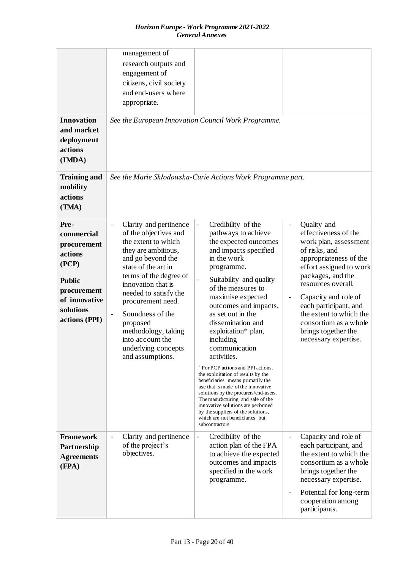| <b>Innovation</b><br>and market<br>deployment<br>actions<br>(IMDA)<br><b>Training and</b><br>mobility<br>actions<br>(TMA)            | management of<br>research outputs and<br>engagement of<br>citizens, civil society<br>and end-users where<br>appropriate.                                                                                                                                                                                                                                                                                              | See the European Innovation Council Work Programme.<br>See the Marie Skłodowska-Curie Actions Work Programme part.                                                                                                                                                                                                                                                                                                                                                                                                                                                                                                                                                                                                                             |                                                                                                                                                                                                                                                                                                                                                               |
|--------------------------------------------------------------------------------------------------------------------------------------|-----------------------------------------------------------------------------------------------------------------------------------------------------------------------------------------------------------------------------------------------------------------------------------------------------------------------------------------------------------------------------------------------------------------------|------------------------------------------------------------------------------------------------------------------------------------------------------------------------------------------------------------------------------------------------------------------------------------------------------------------------------------------------------------------------------------------------------------------------------------------------------------------------------------------------------------------------------------------------------------------------------------------------------------------------------------------------------------------------------------------------------------------------------------------------|---------------------------------------------------------------------------------------------------------------------------------------------------------------------------------------------------------------------------------------------------------------------------------------------------------------------------------------------------------------|
| Pre-<br>commercial<br>procurement<br>actions<br>(PCP)<br><b>Public</b><br>procurement<br>of innovative<br>solutions<br>actions (PPI) | Clarity and pertinence<br>$\overline{\phantom{a}}$<br>of the objectives and<br>the extent to which<br>they are ambitious,<br>and go beyond the<br>state of the art in<br>terms of the degree of<br>innovation that is<br>needed to satisfy the<br>procurement need.<br>Soundness of the<br>$\overline{\phantom{a}}$<br>proposed<br>methodology, taking<br>into account the<br>underlying concepts<br>and assumptions. | Credibility of the<br>$\frac{1}{2}$<br>pathways to achieve<br>the expected outcomes<br>and impacts specified<br>in the work<br>programme.<br>Suitability and quality<br>$\frac{1}{2}$<br>of the measures to<br>maximise expected<br>outcomes and impacts,<br>as set out in the<br>dissemination and<br>exploitation* plan,<br>including<br>communication<br>activities.<br>* For PCP actions and PPI actions,<br>the exploitation of results by the<br>beneficiaries means primarily the<br>use that is made of the innovative<br>solutions by the procurers/end-users.<br>The manufacturing and sale of the<br>innovative solutions are performed<br>by the suppliers of the solutions,<br>which are not beneficiaries but<br>subcontractors. | Quality and<br>$\overline{\phantom{a}}$<br>effectiveness of the<br>work plan, assessment<br>of risks, and<br>appropriateness of the<br>effort assigned to work<br>packages, and the<br>resources overall.<br>Capacity and role of<br>each participant, and<br>the extent to which the<br>consortium as a whole<br>brings together the<br>necessary expertise. |
| <b>Framework</b><br>Partnership<br><b>Agreements</b><br>(FPA)                                                                        | Clarity and pertinence<br>$\qquad \qquad \blacksquare$<br>of the project's<br>objectives.                                                                                                                                                                                                                                                                                                                             | Credibility of the<br>$\overline{\phantom{0}}$<br>action plan of the FPA<br>to achieve the expected<br>outcomes and impacts<br>specified in the work<br>programme.                                                                                                                                                                                                                                                                                                                                                                                                                                                                                                                                                                             | Capacity and role of<br>$\overline{\phantom{0}}$<br>each participant, and<br>the extent to which the<br>consortium as a whole<br>brings together the<br>necessary expertise.<br>Potential for long-term<br>$\overline{\phantom{0}}$<br>cooperation among<br>participants.                                                                                     |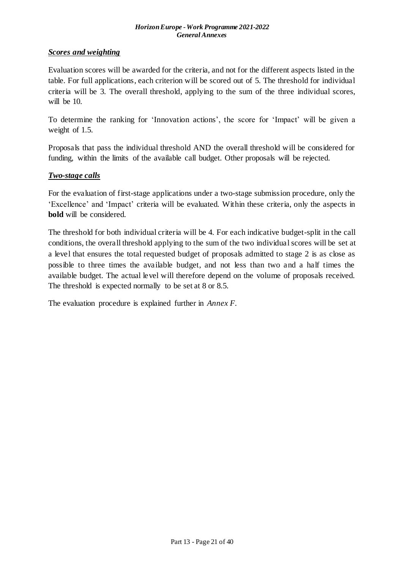## *Scores and weighting*

Evaluation scores will be awarded for the criteria, and not for the different aspects listed in the table. For full applications, each criterion will be scored out of 5. The threshold for individual criteria will be 3. The overall threshold, applying to the sum of the three individual scores, will be 10.

To determine the ranking for 'Innovation actions', the score for 'Impact' will be given a weight of 1.5.

Proposals that pass the individual threshold AND the overall threshold will be considered for funding, within the limits of the available call budget. Other proposals will be rejected.

#### *Two-stage calls*

For the evaluation of first-stage applications under a two-stage submission procedure, only the 'Excellence' and 'Impact' criteria will be evaluated. Within these criteria, only the aspects in **bold** will be considered.

The threshold for both individual criteria will be 4. For each indicative budget-split in the call conditions, the overall threshold applying to the sum of the two individual scores will be set at a level that ensures the total requested budget of proposals admitted to stage 2 is as close as possible to three times the available budget, and not less than two and a half times the available budget. The actual level will therefore depend on the volume of proposals received. The threshold is expected normally to be set at 8 or 8.5.

The evaluation procedure is explained further in *Annex F*.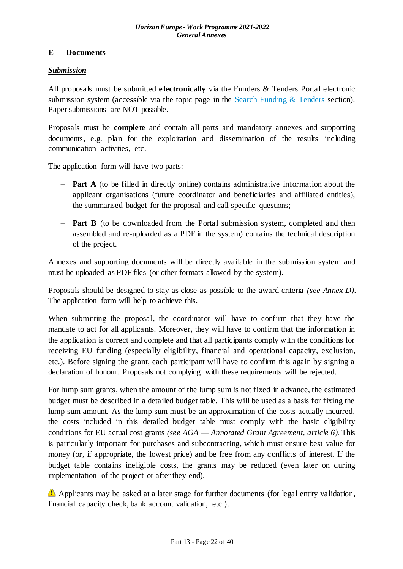## <span id="page-21-0"></span>**E — Documents**

#### *Submission*

All proposals must be submitted **electronically** via the Funders & Tenders Portal electronic submission system (accessible via the topic page in the Search Funding  $&$  Tenders section). Paper submissions are NOT possible.

Proposals must be **complete** and contain all parts and mandatory annexes and supporting documents, e.g. plan for the exploitation and dissemination of the results including communication activities, etc.

The application form will have two parts:

- **Part A** (to be filled in directly online) contains administrative information about the applicant organisations (future coordinator and beneficiaries and affiliated entities), the summarised budget for the proposal and call-specific questions;
- **Part B** (to be downloaded from the Portal submission system, completed and then assembled and re-uploaded as a PDF in the system) contains the technical description of the project.

Annexes and supporting documents will be directly available in the submission system and must be uploaded as PDF files (or other formats allowed by the system).

Proposals should be designed to stay as close as possible to the award criteria *(see Annex D)*. The application form will help to achieve this.

When submitting the proposal, the coordinator will have to confirm that they have the mandate to act for all applicants. Moreover, they will have to confirm that the information in the application is correct and complete and that all participants comply with the conditions for receiving EU funding (especially eligibility, financial and operational capacity, exclusion, etc.). Before signing the grant, each participant will have to confirm this again by signing a declaration of honour. Proposals not complying with these requirements will be rejected.

For lump sum grants, when the amount of the lump sum is not fixed in advance, the estimated budget must be described in a detailed budget table. This will be used as a basis for fixing the lump sum amount. As the lump sum must be an approximation of the costs actually incurred, the costs included in this detailed budget table must comply with the basic eligibility conditions for EU actual cost grants *(see AGA* — *Annotated Grant Agreement, article 6)*. This is particularly important for purchases and subcontracting, which must ensure best value for money (or, if appropriate, the lowest price) and be free from any conflicts of interest. If the budget table contains ineligible costs, the grants may be reduced (even later on during implementation of the project or after they end).

Applicants may be asked at a later stage for further documents (for legal entity validation, financial capacity check, bank account validation, etc.).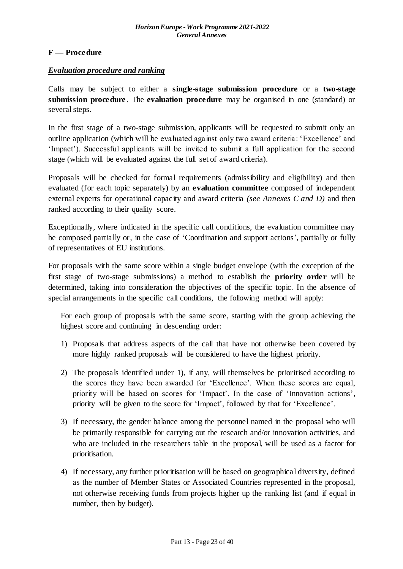## <span id="page-22-0"></span>**F — Procedure**

#### *Evaluation procedure and ranking*

Calls may be subject to either a **single-stage submission procedure** or a **two-stage submission procedure**. The **evaluation procedure** may be organised in one (standard) or several steps.

In the first stage of a two-stage submission, applicants will be requested to submit only an outline application (which will be evaluated against only two award criteria: 'Excellence' and 'Impact'). Successful applicants will be invited to submit a full application for the second stage (which will be evaluated against the full set of award criteria).

Proposals will be checked for formal requirements (admissibility and eligibility) and then evaluated (for each topic separately) by an **evaluation committee** composed of independent external experts for operational capacity and award criteria *(see Annexes C and D)* and then ranked according to their quality score.

Exceptionally, where indicated in the specific call conditions, the evaluation committee may be composed partially or, in the case of 'Coordination and support actions', partially or fully of representatives of EU institutions.

For proposals with the same score within a single budget envelope (with the exception of the first stage of two-stage submissions) a method to establish the **priority order** will be determined, taking into consideration the objectives of the specific topic. In the absence of special arrangements in the specific call conditions, the following method will apply:

For each group of proposals with the same score, starting with the group achieving the highest score and continuing in descending order:

- 1) Proposals that address aspects of the call that have not otherwise been covered by more highly ranked proposals will be considered to have the highest priority.
- 2) The proposals identified under 1), if any, will themselves be prioritised according to the scores they have been awarded for 'Excellence'. When these scores are equal, priority will be based on scores for 'Impact'. In the case of 'Innovation actions', priority will be given to the score for 'Impact', followed by that for 'Excellence'.
- 3) If necessary, the gender balance among the personnel named in the proposal who will be primarily responsible for carrying out the research and/or innovation activities, and who are included in the researchers table in the proposal, will be used as a factor for prioritisation.
- 4) If necessary, any further prioritisation will be based on geographical diversity, defined as the number of Member States or Associated Countries represented in the proposal, not otherwise receiving funds from projects higher up the ranking list (and if equal in number, then by budget).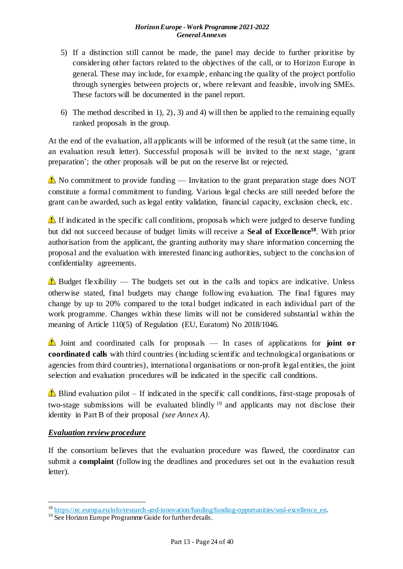- 5) If a distinction still cannot be made, the panel may decide to further prioritise by considering other factors related to the objectives of the call, or to Horizon Europe in general. These may include, for example, enhancing the quality of the project portfolio through synergies between projects or, where relevant and feasible, involving SMEs. These factors will be documented in the panel report.
- 6) The method described in 1), 2), 3) and 4) will then be applied to the remaining equally ranked proposals in the group.

At the end of the evaluation, all applicants will be informed of the result (at the same time, in an evaluation result letter). Successful proposals will be invited to the next stage, 'grant preparation'; the other proposals will be put on the reserve list or rejected.

No commitment to provide funding — Invitation to the grant preparation stage does NOT constitute a formal commitment to funding. Various legal checks are still needed before the grant can be awarded, such as legal entity validation, financial capacity, exclusion check, etc.

If indicated in the specific call conditions, proposals which were judged to deserve funding but did not succeed because of budget limits will receive a **Seal of Excellence<sup>18</sup>**. With prior authorisation from the applicant, the granting authority may share information concerning the proposal and the evaluation with interested financing authorities, subject to the conclusion of confidentiality agreements.

Budget flexibility — The budgets set out in the calls and topics are indicative. Unless otherwise stated, final budgets may change following evaluation. The final figures may change by up to 20% compared to the total budget indicated in each individual part of the work programme. Changes within these limits will not be considered substantial within the meaning of Article 110(5) of Regulation (EU, Euratom) No 2018/1046.

Joint and coordinated calls for proposals — In cases of applications for **joint or coordinated calls** with third countries (including scientific and technological organisations or agencies from third countries), international organisations or non-profit legal entities, the joint selection and evaluation procedures will be indicated in the specific call conditions.

Blind evaluation pilot – If indicated in the specific call conditions, first-stage proposals of two-stage submissions will be evaluated blindly <sup>19</sup> and applicants may not disclose their identity in Part B of their proposal *(see Annex A)*.

## *Evaluation review procedure*

1

If the consortium believes that the evaluation procedure was flawed, the coordinator can submit a **complaint** (following the deadlines and procedures set out in the evaluation result letter).

<sup>&</sup>lt;sup>18</sup> [https://ec.europa.eu/info/research-and-innovation/funding/funding-opportunities/seal-excellence\\_en](https://ec.europa.eu/info/research-and-innovation/funding/funding-opportunities/seal-excellence_en).

<sup>&</sup>lt;sup>19</sup> See Horizon Europe Programme Guide for further details.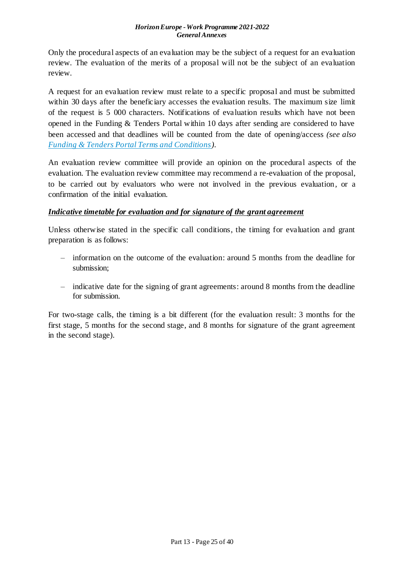Only the procedural aspects of an evaluation may be the subject of a request for an evaluation review. The evaluation of the merits of a proposal will not be the subject of an evaluation review.

A request for an evaluation review must relate to a specific proposal and must be submitted within 30 days after the beneficiary accesses the evaluation results. The maximum size limit of the request is 5 000 characters. Notifications of evaluation results which have not been opened in the Funding & Tenders Portal within 10 days after sending are considered to have been accessed and that deadlines will be counted from the date of opening/access *(see also [Funding & Tenders Portal Terms and Conditions](https://ec.europa.eu/info/funding-tenders/opportunities/docs/2021-2027/common/ftp/tc_en.pdf))*.

An evaluation review committee will provide an opinion on the procedural aspects of the evaluation. The evaluation review committee may recommend a re-evaluation of the proposal, to be carried out by evaluators who were not involved in the previous evaluation, or a confirmation of the initial evaluation.

## *Indicative timetable for evaluation and for signature of the grant agreement*

Unless otherwise stated in the specific call conditions, the timing for evaluation and grant preparation is as follows:

- information on the outcome of the evaluation: around 5 months from the deadline for submission;
- indicative date for the signing of grant agreements: around 8 months from the deadline for submission.

For two-stage calls, the timing is a bit different (for the evaluation result: 3 months for the first stage, 5 months for the second stage, and 8 months for signature of the grant agreement in the second stage).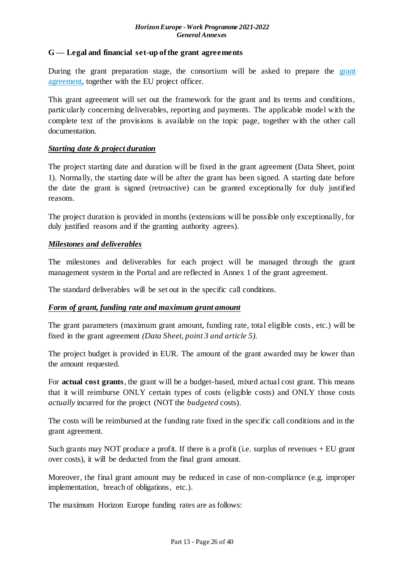#### <span id="page-25-0"></span>**G — Legal and financial set-up of the grant agreements**

During the [grant](https://ec.europa.eu/info/funding-tenders/opportunities/docs/2021-2027/common/agr-contr/general-mga_horizon-euratom_en.pdf) preparation stage, the consortium will be asked to prepare the grant [agreement,](https://ec.europa.eu/info/funding-tenders/opportunities/docs/2021-2027/common/agr-contr/general-mga_horizon-euratom_en.pdf) together with the EU project officer.

This grant agreement will set out the framework for the grant and its terms and conditions, particularly concerning deliverables, reporting and payments. The applicable model with the complete text of the provisions is available on the topic page, together with the other call documentation.

#### *Starting date & project duration*

The project starting date and duration will be fixed in the grant agreement (Data Sheet, point 1). Normally, the starting date will be after the grant has been signed. A starting date before the date the grant is signed (retroactive) can be granted exceptionally for duly justified reasons.

The project duration is provided in months (extensions will be possible only exceptionally, for duly justified reasons and if the granting authority agrees).

#### *Milestones and deliverables*

The milestones and deliverables for each project will be managed through the grant management system in the Portal and are reflected in Annex 1 of the grant agreement.

The standard deliverables will be set out in the specific call conditions.

## *Form of grant, funding rate and maximum grant amount*

The grant parameters (maximum grant amount, funding rate, total eligible costs, etc.) will be fixed in the grant agreement *(Data Sheet, point 3 and article 5).*

The project budget is provided in EUR. The amount of the grant awarded may be lower than the amount requested.

For **actual cost grants**, the grant will be a budget-based, mixed actual cost grant. This means that it will reimburse ONLY certain types of costs (eligible costs) and ONLY those costs *actually* incurred for the project (NOT the *budgeted* costs).

The costs will be reimbursed at the funding rate fixed in the specific call conditions and in the grant agreement.

Such grants may NOT produce a profit. If there is a profit (i.e. surplus of revenues  $+EU$  grant over costs), it will be deducted from the final grant amount.

Moreover, the final grant amount may be reduced in case of non-compliance (e.g. improper implementation, breach of obligations, etc.).

The maximum Horizon Europe funding rates are as follows: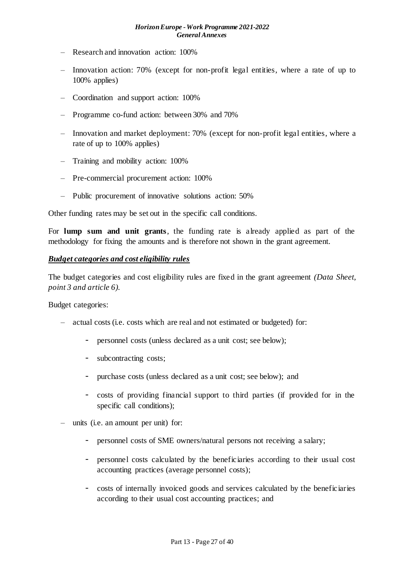- Research and innovation action: 100%
- Innovation action: 70% (except for non-profit legal entities, where a rate of up to 100% applies)
- Coordination and support action: 100%
- Programme co-fund action: between 30% and 70%
- Innovation and market deployment: 70% (except for non-profit legal entities, where a rate of up to 100% applies)
- Training and mobility action: 100%
- Pre-commercial procurement action: 100%
- Public procurement of innovative solutions action: 50%

Other funding rates may be set out in the specific call conditions.

For **lump sum and unit grants**, the funding rate is already applied as part of the methodology for fixing the amounts and is therefore not shown in the grant agreement.

#### *Budget categories and cost eligibility rules*

The budget categories and cost eligibility rules are fixed in the grant agreement *(Data Sheet, point 3 and article 6).*

Budget categories:

- actual costs (i.e. costs which are real and not estimated or budgeted) for:
	- personnel costs (unless declared as a unit cost; see below);
	- subcontracting costs;
	- purchase costs (unless declared as a unit cost; see below); and
	- costs of providing financial support to third parties (if provided for in the specific call conditions);
- units (i.e. an amount per unit) for:
	- personnel costs of SME owners/natural persons not receiving a salary;
	- personnel costs calculated by the beneficiaries according to their usual cost accounting practices (average personnel costs);
	- costs of internally invoiced goods and services calculated by the beneficiaries according to their usual cost accounting practices; and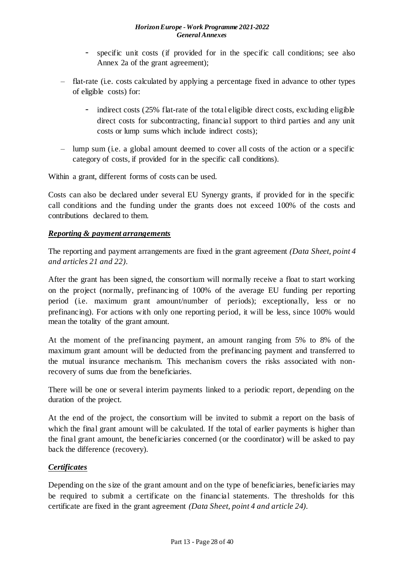- specific unit costs (if provided for in the specific call conditions; see also Annex 2a of the grant agreement);
- flat-rate (i.e. costs calculated by applying a percentage fixed in advance to other types of eligible costs) for:
	- indirect costs (25% flat-rate of the total eligible direct costs, excluding eligible direct costs for subcontracting, financial support to third parties and any unit costs or lump sums which include indirect costs);
- lump sum (i.e. a global amount deemed to cover all costs of the action or a specific category of costs, if provided for in the specific call conditions).

Within a grant, different forms of costs can be used.

Costs can also be declared under several EU Synergy grants, if provided for in the specific call conditions and the funding under the grants does not exceed 100% of the costs and contributions declared to them.

## *Reporting & payment arrangements*

The reporting and payment arrangements are fixed in the grant agreement *(Data Sheet, point 4 and articles 21 and 22)*.

After the grant has been signed, the consortium will normally receive a float to start working on the project (normally, prefinancing of 100% of the average EU funding per reporting period (i.e. maximum grant amount/number of periods); exceptionally, less or no prefinancing). For actions with only one reporting period, it will be less, since 100% would mean the totality of the grant amount.

At the moment of the prefinancing payment, an amount ranging from 5% to 8% of the maximum grant amount will be deducted from the prefinancing payment and transferred to the mutual insurance mechanism. This mechanism covers the risks associated with nonrecovery of sums due from the beneficiaries.

There will be one or several interim payments linked to a periodic report, depending on the duration of the project.

At the end of the project, the consortium will be invited to submit a report on the basis of which the final grant amount will be calculated. If the total of earlier payments is higher than the final grant amount, the beneficiaries concerned (or the coordinator) will be asked to pay back the difference (recovery).

## *Certificates*

Depending on the size of the grant amount and on the type of beneficiaries, beneficiaries may be required to submit a certificate on the financial statements. The thresholds for this certificate are fixed in the grant agreement *(Data Sheet, point 4 and article 24)*.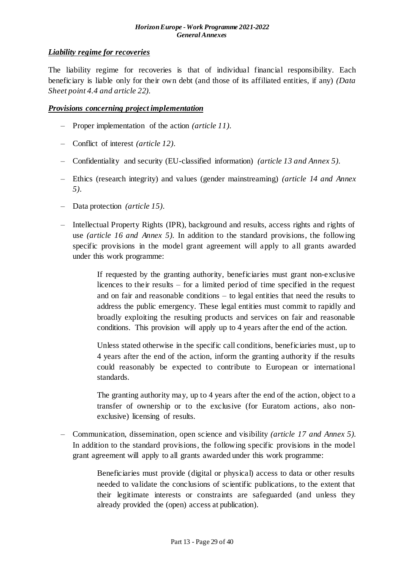## *Liability regime for recoveries*

The liability regime for recoveries is that of individual financial responsibility. Each beneficiary is liable only for their own debt (and those of its affiliated entities, if any) *(Data Sheet point 4.4 and article 22)*.

#### *Provisions concerning project implementation*

- Proper implementation of the action *(article 11)*.
- Conflict of interest *(article 12)*.
- Confidentiality and security (EU-classified information) *(article 13 and Annex 5)*.
- Ethics (research integrity) and values (gender mainstreaming) *(article 14 and Annex 5)*.
- Data protection *(article 15)*.
- Intellectual Property Rights (IPR), background and results, access rights and rights of use *(article 16 and Annex 5).* In addition to the standard provisions, the following specific provisions in the model grant agreement will apply to all grants awarded under this work programme:

If requested by the granting authority, beneficiaries must grant non-exclusive licences to their results – for a limited period of time specified in the request and on fair and reasonable conditions – to legal entities that need the results to address the public emergency. These legal entities must commit to rapidly and broadly exploiting the resulting products and services on fair and reasonable conditions. This provision will apply up to 4 years after the end of the action.

Unless stated otherwise in the specific call conditions, beneficiaries must, up to 4 years after the end of the action, inform the granting authority if the results could reasonably be expected to contribute to European or international standards.

The granting authority may, up to 4 years after the end of the action, object to a transfer of ownership or to the exclusive (for Euratom actions, also nonexclusive) licensing of results.

– Communication, dissemination, open science and visibility *(article 17 and Annex 5).* In addition to the standard provisions, the following specific provisions in the model grant agreement will apply to all grants awarded under this work programme:

> Beneficiaries must provide (digital or physical) access to data or other results needed to validate the conclusions of scientific publications, to the extent that their legitimate interests or constraints are safeguarded (and unless they already provided the (open) access at publication).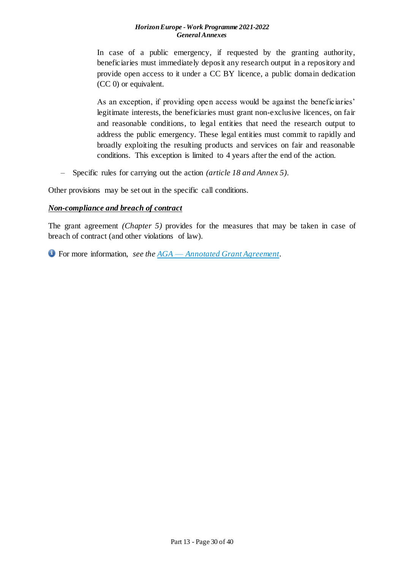In case of a public emergency, if requested by the granting authority, beneficiaries must immediately deposit any research output in a repository and provide open access to it under a CC BY licence, a public domain dedication (CC 0) or equivalent.

As an exception, if providing open access would be against the beneficiaries' legitimate interests, the beneficiaries must grant non-exclusive licences, on fair and reasonable conditions, to legal entities that need the research output to address the public emergency. These legal entities must commit to rapidly and broadly exploiting the resulting products and services on fair and reasonable conditions. This exception is limited to 4 years after the end of the action.

– Specific rules for carrying out the action *(article 18 and Annex 5)*.

Other provisions may be set out in the specific call conditions.

#### *Non-compliance and breach of contract*

The grant agreement *(Chapter 5)* provides for the measures that may be taken in case of breach of contract (and other violations of law).

For more information, *see the AGA* — *[Annotated Grant Agreement](https://ec.europa.eu/info/funding-tenders/opportunities/docs/2021-2027/common/guidance/aga_en.pdf)*.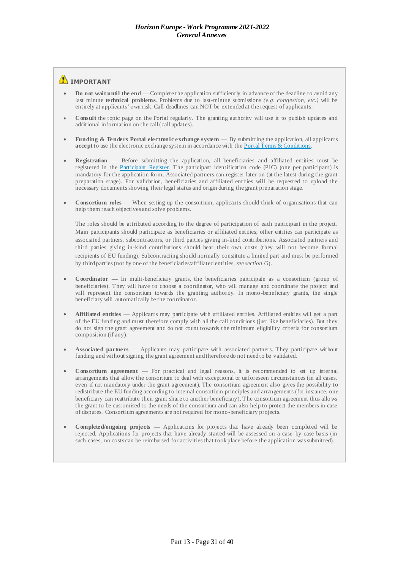#### **IMPORTANT**

- **Do not wait until the end —** Complete the application sufficiently in advance of the deadline to avoid any last minute **technical problems**. Problems due to last-minute submissions *(e.g. congestion, etc.)* will be entirely at applicants' own risk. Call deadlines can NOT be extended at the request of applicants.
- **Consult** the topic page on the Portal regularly. The granting authority will use it to publish updates and additional information on the call (call updates).
- **Funding & Tenders Portal electronic exchange system By submitting the application, all applicants accept** to use the electronic exchange system in accordance with the [Portal Terms & Conditions.](https://ec.europa.eu/info/funding-tenders/opportunities/docs/2021-2027/common/ftp/tc_en.pdf)
- **Registration —** Before submitting the application, all beneficiaries and affiliated entities must be registered in the [Participant Register.](https://ec.europa.eu/info/funding-tenders/opportunities/portal/screen/how-to-participate/participant-register) The participant identification code (PIC) (one per participant) is mandatory for the application form. Associated partners can register later on (at the latest during the grant preparation stage). For validation, beneficiaries and affiliated entities will be requested to upload the necessary documents showing their legal status and origin during the grant preparation stage.
- **Consortium roles —** When setting up the consortium, applicants should think of organisations that can help them reach objectives and solve problems.

The roles should be attributed according to the degree of participation of each participant in the project. Main participants should participate as beneficiaries or affiliated entities; other entities can participate as associated partners, subcontractors, or third parties giving in-kind contributions. Associated partners and third parties giving in-kind contributions should bear their own costs (they will not become formal recipients of EU funding). Subcontracting should normally constitute a limited part and must be performed by third parties (not by one of the beneficiaries/affiliated entities, *see section G*).

- **Coordinator —** In multi-beneficiary grants, the beneficiaries participate as a consortium (group of beneficiaries). They will have to choose a coordinator, who will manage and coordinate the project and will represent the consortium towards the granting authority. In mono-beneficiary grants, the single beneficiary will automatically be the coordinator.
- Affiliated entities Applicants may participate with affiliated entities. Affiliated entities will get a part of the EU funding and m ust therefore comply with all the call conditions (just like beneficiaries). But they do not sign the grant agreement and do not count towards the minimum eligibility criteria for consortium composition (if any).
- **Associated partners** Applicants may participate with associated partners. They participate without funding and without signing the grant agreement and therefore do not need to be validated.
- **Consortium agreement**  For practical and legal reasons, it is recommended to set up internal arrangements that allow the consortium to deal with exceptional or unforeseen circumstances (in all cases, even if not mandatory under the grant agreement). The consortium agreement also gives the possibility to redistribute the EU funding according to internal consortium principles and arrangements (for instance, one beneficiary can reattribute their grant share to another beneficiary). The consortium agreement thus allo ws the grant to be customised to the needs of the consortium and can also help to protect the members in case of disputes. Consortium agreements are not required for mono-beneficiary projects.
- **Completed/ongoing projects —** Applications for projects that have already been completed will be rejected. Applications for projects that have already started will be assessed on a case-by-case basis (in such cases, no costs can be reimbursed for activities that took place before the application was submitted).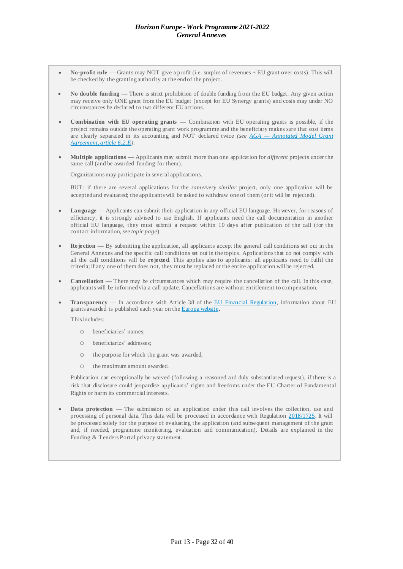- **No-profit rule —** Grants may NOT give a profit (i.e. surplus of revenues + EU grant over costs). This will be checked by the granting authority at the end of the project.
- **No double funding —** There is strict prohibition of double funding from the EU budget. Any given action may receive only ONE grant from the EU budget (except for EU Synergy grants) and costs may under NO circumstances be declared to two different EU actions.
- **Combination with EU operating grants —** Combination with EU operating grants is possible, if the project remains outside the operating grant work programme and the beneficiary makes sure that cost items are clearly separated in its accounting and NOT declared twice *(see AGA — [Annotated Model Grant](https://ec.europa.eu/info/funding-tenders/opportunities/docs/2021-2027/common/guidance/aga_en.pdf)  [Agreement, article](https://ec.europa.eu/info/funding-tenders/opportunities/docs/2021-2027/common/guidance/aga_en.pdf) 6.2.E).*
- **Multiple applications —** Applicants may submit more than one application for *different* projects under the same call (and be awarded funding for them).

Organisations may participate in several applications.

BUT: if there are several applications for the *same/very similar* project, only one application will be accepted and evaluated; the applicants will be asked to withdraw one of them (or it will be rejected).

- **Language —** Applicants can submit their application in any official EU language. Ho wever, for reasons of efficiency, it is strongly advised to use English. If applicants need the call documentation in another official EU language, they must submit a request within 10 days after publication of the call (for the contact information, *see topic page*).
- **Rejection** By submitting the application, all applicants accept the general call conditions set out in the General Annexes and the specific call conditions set out in the topics. Applications that do not comply with all the call conditions will be **rejected**. This applies also to applicants: all applicants need to fulfil the criteria; if any one of them does not, they must be replaced or the entire application will be rejected.
- **Cancellation —** There may be circumstances which may require the cancellation of the call. In this case, applicants will be informed via a call update. Cancellations are without entitlement to compensation.
- **Transparency —** In accordance with Article 38 of the [EU Financial Regulation,](https://eur-lex.europa.eu/legal-content/EN/ALL/?uri=CELEX:32018R1046&qid=1535046024012) information about EU grants awarded is published each year on the [Europa website.](https://ec.europa.eu/budget/fts/index_en.htm)

This includes:

- o beneficiaries' names;
- o beneficiaries' addresses;
- o the purpose for which the grant was awarded;
- o the maximum amount awarded.

Publication can exceptionally be waived (following a reasoned and duly substantiated request), if there is a risk that disclosure could jeopardise applicants' rights and freedoms under the EU Charter of Fundamental Rights or harm its commercial interests.

**Data protection** — The submission of an application under this call involves the collection, use and processing of personal data. This data will be processed in accordance with Regulation [2018/1725.](https://eur-lex.europa.eu/legal-content/EN/ALL/?uri=CELEX:32018R1725&qid=1547993085271) It will be processed solely for the purpose of evaluating the application (and subsequent management of the grant and, if needed, programme monitoring, evaluation and communication). Details are explained in the Funding & Tenders Portal privacy statement.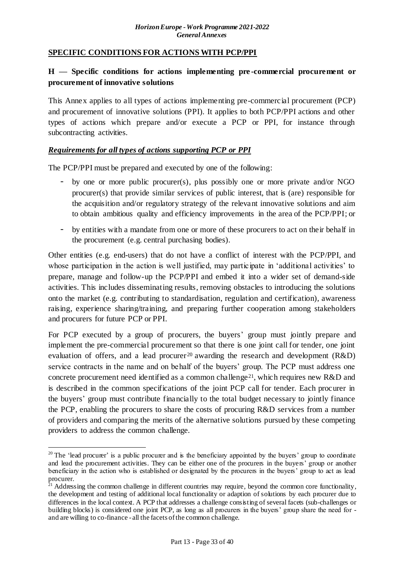## <span id="page-32-0"></span>**SPECIFIC CONDITIONS FOR ACTIONS WITH PCP/PPI**

## <span id="page-32-1"></span>**H — Specific conditions for actions implementing pre -commercial procurement or procurement of innovative solutions**

This Annex applies to all types of actions implementing pre-commercial procurement (PCP) and procurement of innovative solutions (PPI). It applies to both PCP/PPI actions and other types of actions which prepare and/or execute a PCP or PPI, for instance through subcontracting activities.

## *Requirements for all types of actions supporting PCP or PPI*

The PCP/PPI must be prepared and executed by one of the following:

- by one or more public procurer(s), plus possibly one or more private and/or NGO procurer(s) that provide similar services of public interest, that is (are) responsible for the acquisition and/or regulatory strategy of the relevant innovative solutions and aim to obtain ambitious quality and efficiency improvements in the area of the PCP/PPI; or
- by entities with a mandate from one or more of these procurers to act on their behalf in the procurement (e.g. central purchasing bodies).

Other entities (e.g. end-users) that do not have a conflict of interest with the PCP/PPI, and whose participation in the action is well justified, may participate in 'additional activities' to prepare, manage and follow-up the PCP/PPI and embed it into a wider set of demand-side activities. This includes disseminating results, removing obstacles to introducing the solutions onto the market (e.g. contributing to standardisation, regulation and certification), awareness raising, experience sharing/training, and preparing further cooperation among stakeholders and procurers for future PCP or PPI.

For PCP executed by a group of procurers, the buyers' group must jointly prepare and implement the pre-commercial procurement so that there is one joint call for tender, one joint evaluation of offers, and a lead procurer <sup>20</sup> awarding the research and development  $(R&D)$ service contracts in the name and on behalf of the buyers' group. The PCP must address one concrete procurement need identified as a common challenge<sup>21</sup>, which requires new R&D and is described in the common specifications of the joint PCP call for tender. Each procurer in the buyers' group must contribute financially to the total budget necessary to jointly finance the PCP, enabling the procurers to share the costs of procuring R&D services from a number of providers and comparing the merits of the alternative solutions pursued by these competing providers to address the common challenge.

1

 $20$  The 'lead procurer' is a public procurer and is the beneficiary appointed by the buyers' group to coordinate and lead the procurement activities. They can be either one of the procurers in the buyers' group or another beneficiary in the action who is established or designated by the procurers in the buyers' group to act as lead procurer.

 $21$  Addressing the common challenge in different countries may require, beyond the common core functionality, the development and testing of additional local functionality or adaption of solutions by each procurer due to differences in the local context. A PCP that addresses a challenge consisting of several facets (sub-challenges or building blocks) is considered one joint PCP, as long as all procurers in the buyers' group share the need for and are willing to co-finance - all the facets of the common challenge.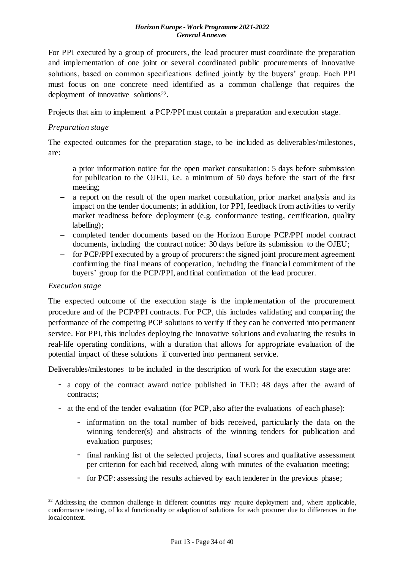For PPI executed by a group of procurers, the lead procurer must coordinate the preparation and implementation of one joint or several coordinated public procurements of innovative solutions, based on common specifications defined jointly by the buyers' group. Each PPI must focus on one concrete need identified as a common challenge that requires the deployment of innovative solutions<sup>22</sup>.

Projects that aim to implement a PCP/PPI must contain a preparation and execution stage.

#### *Preparation stage*

The expected outcomes for the preparation stage, to be included as deliverables/milestones, are:

- a prior information notice for the open market consultation: 5 days before submission for publication to the OJEU, i.e. a minimum of 50 days before the start of the first meeting;
- a report on the result of the open market consultation, prior market analysis and its impact on the tender documents; in addition, for PPI, feedback from activities to verify market readiness before deployment (e.g. conformance testing, certification, quality labelling);
- completed tender documents based on the Horizon Europe PCP/PPI model contract documents, including the contract notice: 30 days before its submission to the OJEU;
- for PCP/PPI executed by a group of procurers: the signed joint procurement agreement confirming the final means of cooperation, including the financial commitment of the buyers' group for the PCP/PPI, and final confirmation of the lead procurer.

#### *Execution stage*

1

The expected outcome of the execution stage is the implementation of the procurement procedure and of the PCP/PPI contracts. For PCP, this includes validating and comparing the performance of the competing PCP solutions to verify if they can be converted into permanent service. For PPI, this includes deploying the innovative solutions and evaluating the results in real-life operating conditions, with a duration that allows for appropriate evaluation of the potential impact of these solutions if converted into permanent service.

Deliverables/milestones to be included in the description of work for the execution stage are:

- a copy of the contract award notice published in TED: 48 days after the award of contracts;
- at the end of the tender evaluation (for PCP, also after the evaluations of each phase):
	- information on the total number of bids received, particularly the data on the winning tenderer(s) and abstracts of the winning tenders for publication and evaluation purposes;
	- final ranking list of the selected projects, final scores and qualitative assessment per criterion for each bid received, along with minutes of the evaluation meeting;
	- for PCP: assessing the results achieved by each tenderer in the previous phase;

<sup>&</sup>lt;sup>22</sup> Addressing the common challenge in different countries may require deployment and, where applicable, conformance testing, of local functionality or adaption of solutions for each procurer due to differences in the local context.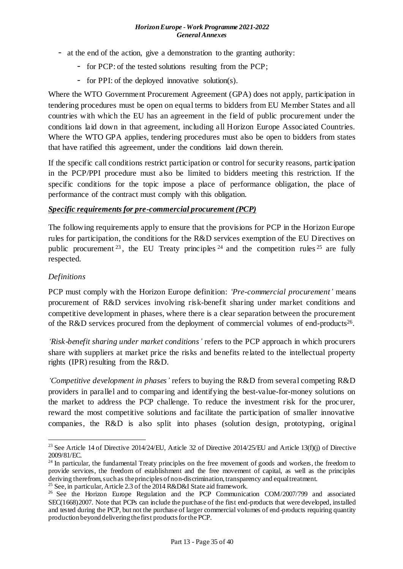- at the end of the action, give a demonstration to the granting authority:
	- for PCP: of the tested solutions resulting from the PCP;
	- for PPI: of the deployed innovative solution(s).

Where the WTO Government Procurement Agreement (GPA) does not apply, participation in tendering procedures must be open on equal terms to bidders from EU Member States and all countries with which the EU has an agreement in the field of public procurement under the conditions laid down in that agreement, including all Horizon Europe Associated Countries. Where the WTO GPA applies, tendering procedures must also be open to bidders from states that have ratified this agreement, under the conditions laid down therein.

If the specific call conditions restrict participation or control for security reasons, participation in the PCP/PPI procedure must also be limited to bidders meeting this restriction. If the specific conditions for the topic impose a place of performance obligation, the place of performance of the contract must comply with this obligation.

## *Specific requirements for pre-commercial procurement (PCP)*

The following requirements apply to ensure that the provisions for PCP in the Horizon Europe rules for participation, the conditions for the R&D services exemption of the EU Directives on public procurement  $23$ , the EU Treaty principles  $24$  and the competition rules  $25$  are fully respected.

## *Definitions*

1

PCP must comply with the Horizon Europe definition: *'Pre-commercial procurement'* means procurement of R&D services involving risk-benefit sharing under market conditions and competitive development in phases, where there is a clear separation between the procurement of the R&D services procured from the deployment of commercial volumes of end-products<sup>26</sup>.

*'Risk-benefit sharing under market conditions'* refers to the PCP approach in which procurers share with suppliers at market price the risks and benefits related to the intellectual property rights (IPR) resulting from the R&D.

*'Competitive development in phases'* refers to buying the R&D from several competing R&D providers in parallel and to comparing and identifying the best-value-for-money solutions on the market to address the PCP challenge. To reduce the investment risk for the procurer, reward the most competitive solutions and facilitate the participation of smaller innovative companies, the R&D is also split into phases (solution design, prototyping, original

<sup>&</sup>lt;sup>23</sup> See Article 14 of Directive 2014/24/EU, Article 32 of Directive 2014/25/EU and Article 13(f)(j) of Directive 2009/81/EC.

<sup>&</sup>lt;sup>24</sup> In particular, the fundamental Treaty principles on the free movement of goods and workers, the freedom to provide services, the freedom of establishment and the free movement of capital, as well as the principles deriving therefrom, such as the principles of non-discrimination, transparency and equal treatment.

<sup>&</sup>lt;sup>25</sup> See, in particular, Article 2.3 of the 2014 R&D&I State aid framework.

<sup>&</sup>lt;sup>26</sup> See the Horizon Europe Regulation and the PCP Communication COM/2007/799 and associated SEC(1668)2007. Note that PCPs can include the purchase of the first end-products that were developed, installed and tested during the PCP, but not the purchase of larger commercial volumes of end-products requiring quantity production beyond delivering the first products for the PCP.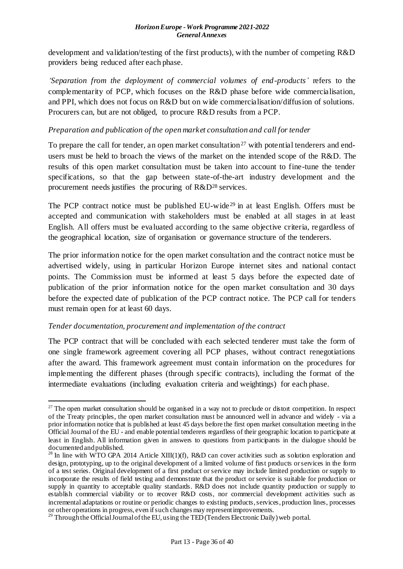development and validation/testing of the first products), with the number of competing R&D providers being reduced after each phase.

*'Separation from the deployment of commercial volumes of end-products'* refers to the complementarity of PCP, which focuses on the R&D phase before wide commercialisation, and PPI, which does not focus on R&D but on wide commercialisation/diffusion of solutions. Procurers can, but are not obliged, to procure R&D results from a PCP.

## *Preparation and publication of the open market consultation and call for tender*

To prepare the call for tender, an open market consultation<sup>27</sup> with potential tenderers and endusers must be held to broach the views of the market on the intended scope of the R&D. The results of this open market consultation must be taken into account to fine-tune the tender specifications, so that the gap between state-of-the-art industry development and the procurement needs justifies the procuring of R&D<sup>28</sup> services.

The PCP contract notice must be published EU-wide<sup>29</sup> in at least English. Offers must be accepted and communication with stakeholders must be enabled at all stages in at least English. All offers must be evaluated according to the same objective criteria, regardless of the geographical location, size of organisation or governance structure of the tenderers.

The prior information notice for the open market consultation and the contract notice must be advertised widely, using in particular Horizon Europe internet sites and national contact points. The Commission must be informed at least 5 days before the expected date of publication of the prior information notice for the open market consultation and 30 days before the expected date of publication of the PCP contract notice. The PCP call for tenders must remain open for at least 60 days.

## *Tender documentation, procurement and implementation of the contract*

The PCP contract that will be concluded with each selected tenderer must take the form of one single framework agreement covering all PCP phases, without contract renegotiations after the award. This framework agreement must contain information on the procedures for implementing the different phases (through specific contracts), including the format of the intermediate evaluations (including evaluation criteria and weightings) for each phase.

<sup>1</sup> <sup>27</sup> The open market consultation should be organised in a way not to preclude or distort competition. In respect of the Treaty principles, the open market consultation must be announced well in advance and widely - via a prior information notice that is published at least 45 days before the first open market consultation meeting in the Official Journal of the EU - and enable potential tenderers regardless of their geographic location to participate at least in English. All information given in answers to questions from participants in the dialogue should be documented and published.

<sup>&</sup>lt;sup>28</sup> In line with WTO GPA 2014 Article XIII(1)(f), R&D can cover activities such as solution exploration and design, prototyping, up to the original development of a limited volume of first products or services in the form of a test series. Original development of a first product or service may include limited production or supply to incorporate the results of field testing and demonstrate that the product or service is suitable for production or supply in quantity to acceptable quality standards. R&D does not include quantity production or supply to establish commercial viability or to recover R&D costs, nor commercial development activities such as incremental adaptations or routine or periodic changes to existing products, services, production lines, processes or other operations in progress, even if such changes may represent improvements.

<sup>&</sup>lt;sup>29</sup> Through the Official Journal of the EU, using the TED (Tenders Electronic Daily) web portal.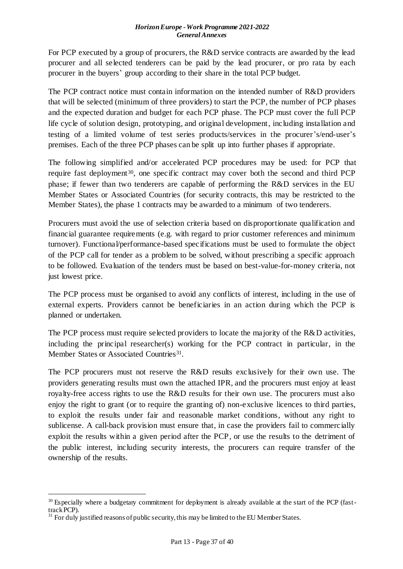For PCP executed by a group of procurers, the R&D service contracts are awarded by the lead procurer and all selected tenderers can be paid by the lead procurer, or pro rata by each procurer in the buyers' group according to their share in the total PCP budget.

The PCP contract notice must contain information on the intended number of R&D providers that will be selected (minimum of three providers) to start the PCP, the number of PCP phases and the expected duration and budget for each PCP phase. The PCP must cover the full PCP life cycle of solution design, prototyping, and original development, including installation and testing of a limited volume of test series products/services in the procurer's/end-user's premises. Each of the three PCP phases can be split up into further phases if appropriate.

The following simplified and/or accelerated PCP procedures may be used: for PCP that require fast deployment<sup>30</sup>, one specific contract may cover both the second and third PCP phase; if fewer than two tenderers are capable of performing the R&D services in the EU Member States or Associated Countries (for security contracts, this may be restricted to the Member States), the phase 1 contracts may be awarded to a minimum of two tenderers.

Procurers must avoid the use of selection criteria based on disproportionate qualification and financial guarantee requirements (e.g. with regard to prior customer references and minimum turnover). Functional/performance-based specifications must be used to formulate the object of the PCP call for tender as a problem to be solved, without prescribing a specific approach to be followed. Evaluation of the tenders must be based on best-value-for-money criteria, not just lowest price.

The PCP process must be organised to avoid any conflicts of interest, including in the use of external experts. Providers cannot be beneficiaries in an action during which the PCP is planned or undertaken.

The PCP process must require selected providers to locate the majority of the R&D activities, including the principal researcher(s) working for the PCP contract in particular, in the Member States or Associated Countries<sup>31</sup>.

The PCP procurers must not reserve the R&D results exclusively for their own use. The providers generating results must own the attached IPR, and the procurers must enjoy at least royalty-free access rights to use the R&D results for their own use. The procurers must also enjoy the right to grant (or to require the granting of) non-exclusive licences to third parties, to exploit the results under fair and reasonable market conditions, without any right to sublicense. A call-back provision must ensure that, in case the providers fail to commercially exploit the results within a given period after the PCP, or use the results to the detriment of the public interest, including security interests, the procurers can require transfer of the ownership of the results.

1

<sup>&</sup>lt;sup>30</sup> Especially where a budgetary commitment for deployment is already available at the start of the PCP (fasttrack PCP).

 $31$  For duly justified reasons of public security, this may be limited to the EU Member States.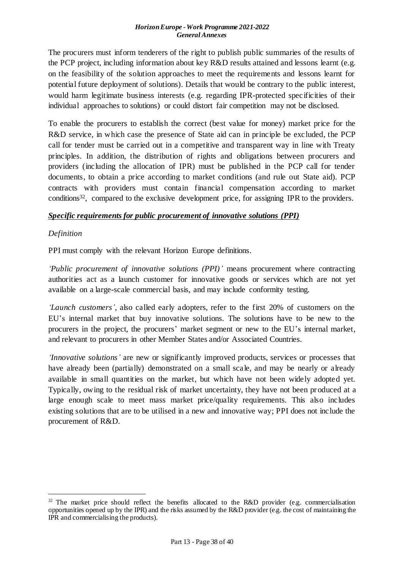The procurers must inform tenderers of the right to publish public summaries of the results of the PCP project, including information about key R&D results attained and lessons learnt (e.g. on the feasibility of the solution approaches to meet the requirements and lessons learnt for potential future deployment of solutions). Details that would be contrary to the public interest, would harm legitimate business interests (e.g. regarding IPR-protected specificities of their individual approaches to solutions) or could distort fair competition may not be disclosed.

To enable the procurers to establish the correct (best value for money) market price for the R&D service, in which case the presence of State aid can in principle be excluded, the PCP call for tender must be carried out in a competitive and transparent way in line with Treaty principles. In addition, the distribution of rights and obligations between procurers and providers (including the allocation of IPR) must be published in the PCP call for tender documents, to obtain a price according to market conditions (and rule out State aid). PCP contracts with providers must contain financial compensation according to market conditions<sup>32</sup>, compared to the exclusive development price, for assigning IPR to the providers.

## *Specific requirements for public procurement of innovative solutions (PPI)*

## *Definition*

1

PPI must comply with the relevant Horizon Europe definitions.

*'Public procurement of innovative solutions (PPI)'* means procurement where contracting authorities act as a launch customer for innovative goods or services which are not yet available on a large-scale commercial basis, and may include conformity testing.

*'Launch customers'*, also called early adopters, refer to the first 20% of customers on the EU's internal market that buy innovative solutions. The solutions have to be new to the procurers in the project, the procurers' market segment or new to the EU's internal market, and relevant to procurers in other Member States and/or Associated Countries.

*'Innovative solutions'* are new or significantly improved products, services or processes that have already been (partially) demonstrated on a small scale, and may be nearly or already available in small quantities on the market, but which have not been widely adopted yet. Typically, owing to the residual risk of market uncertainty, they have not been produced at a large enough scale to meet mass market price/quality requirements. This also includes existing solutions that are to be utilised in a new and innovative way; PPI does not include the procurement of R&D.

 $32$  The market price should reflect the benefits allocated to the R&D provider (e.g. commercialisation opportunities opened up by the IPR) and the risks assumed by the R&D provider (e.g. the cost of maintaining the IPR and commercialising the products).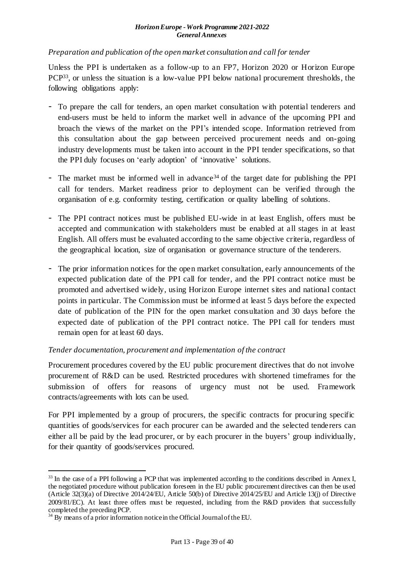#### *Preparation and publication of the open market consultation and call for tender*

Unless the PPI is undertaken as a follow-up to an FP7, Horizon 2020 or Horizon Europe PCP33, or unless the situation is a low-value PPI below national procurement thresholds, the following obligations apply:

- To prepare the call for tenders, an open market consultation with potential tenderers and end-users must be held to inform the market well in advance of the upcoming PPI and broach the views of the market on the PPI's intended scope. Information retrieved from this consultation about the gap between perceived procurement needs and on-going industry developments must be taken into account in the PPI tender specifications, so that the PPI duly focuses on 'early adoption' of 'innovative' solutions.
- The market must be informed well in advance<sup>34</sup> of the target date for publishing the PPI call for tenders. Market readiness prior to deployment can be verified through the organisation of e.g. conformity testing, certification or quality labelling of solutions.
- The PPI contract notices must be published EU-wide in at least English, offers must be accepted and communication with stakeholders must be enabled at all stages in at least English. All offers must be evaluated according to the same objective criteria, regardless of the geographical location, size of organisation or governance structure of the tenderers.
- The prior information notices for the open market consultation, early announcements of the expected publication date of the PPI call for tender, and the PPI contract notice must be promoted and advertised widely, using Horizon Europe internet sites and national contact points in particular. The Commission must be informed at least 5 days before the expected date of publication of the PIN for the open market consultation and 30 days before the expected date of publication of the PPI contract notice. The PPI call for tenders must remain open for at least 60 days.

## *Tender documentation, procurement and implementation of the contract*

Procurement procedures covered by the EU public procurement directives that do not involve procurement of R&D can be used. Restricted procedures with shortened timeframes for the submission of offers for reasons of urgency must not be used. Framework contracts/agreements with lots can be used.

For PPI implemented by a group of procurers, the specific contracts for procuring specific quantities of goods/services for each procurer can be awarded and the selected tenderers can either all be paid by the lead procurer, or by each procurer in the buyers' group individually, for their quantity of goods/services procured.

1

<sup>&</sup>lt;sup>33</sup> In the case of a PPI following a PCP that was implemented according to the conditions described in Annex I, the negotiated procedure without publication foreseen in the EU public procurement directives can then be used (Article 32(3)(a) of Directive 2014/24/EU, Article 50(b) of Directive 2014/25/EU and Article 13(j) of Directive 2009/81/EC). At least three offers must be requested, including from the R&D providers that successfully completed the preceding PCP.

 $34 \text{ B}$  means of a prior information notice in the Official Journal of the EU.